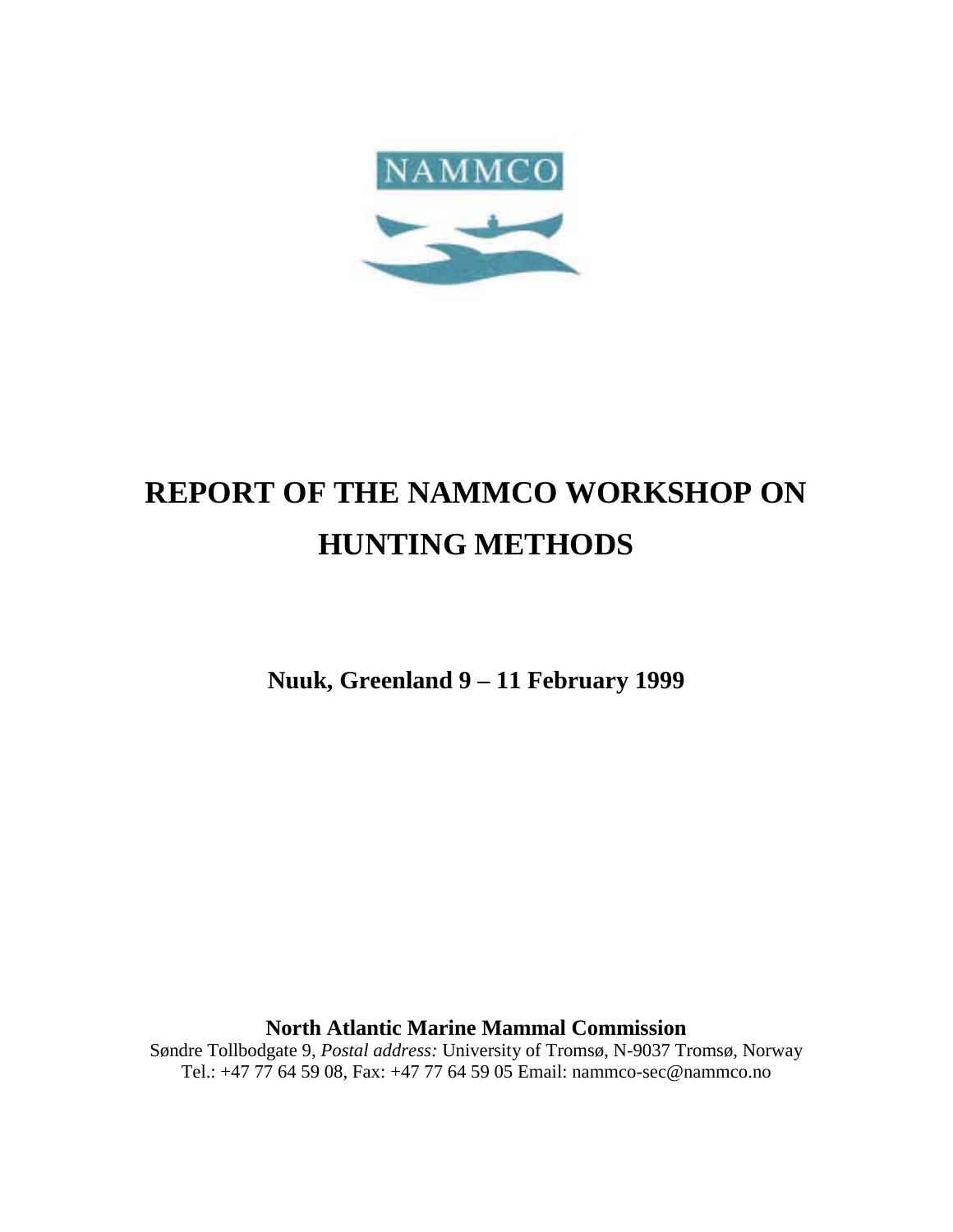

# **REPORT OF THE NAMMCO WORKSHOP ON HUNTING METHODS**

**Nuuk, Greenland 9 – 11 February 1999**

**North Atlantic Marine Mammal Commission**

Søndre Tollbodgate 9, *Postal address:* University of Tromsø, N-9037 Tromsø, Norway Tel.: +47 77 64 59 08, Fax: +47 77 64 59 05 Email: nammco-sec@nammco.no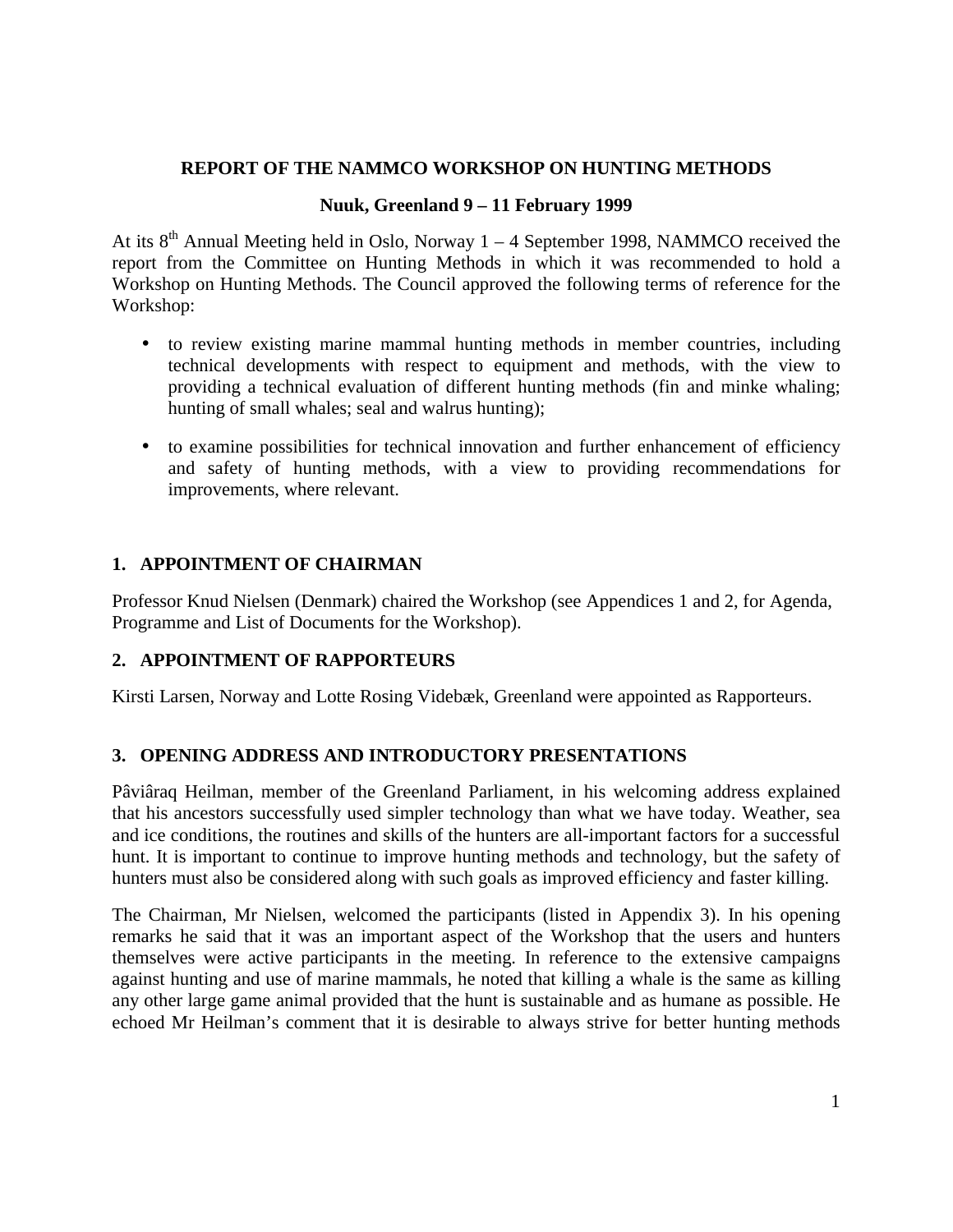# **REPORT OF THE NAMMCO WORKSHOP ON HUNTING METHODS**

# **Nuuk, Greenland 9 – 11 February 1999**

At its  $8<sup>th</sup>$  Annual Meeting held in Oslo, Norway 1 – 4 September 1998, NAMMCO received the report from the Committee on Hunting Methods in which it was recommended to hold a Workshop on Hunting Methods. The Council approved the following terms of reference for the Workshop:

- to review existing marine mammal hunting methods in member countries, including technical developments with respect to equipment and methods, with the view to providing a technical evaluation of different hunting methods (fin and minke whaling; hunting of small whales; seal and walrus hunting);
- to examine possibilities for technical innovation and further enhancement of efficiency and safety of hunting methods, with a view to providing recommendations for improvements, where relevant.

# **1. APPOINTMENT OF CHAIRMAN**

Professor Knud Nielsen (Denmark) chaired the Workshop (see Appendices 1 and 2, for Agenda, Programme and List of Documents for the Workshop).

# **2. APPOINTMENT OF RAPPORTEURS**

Kirsti Larsen, Norway and Lotte Rosing Videbæk, Greenland were appointed as Rapporteurs.

# **3. OPENING ADDRESS AND INTRODUCTORY PRESENTATIONS**

Pâviâraq Heilman, member of the Greenland Parliament, in his welcoming address explained that his ancestors successfully used simpler technology than what we have today. Weather, sea and ice conditions, the routines and skills of the hunters are all-important factors for a successful hunt. It is important to continue to improve hunting methods and technology, but the safety of hunters must also be considered along with such goals as improved efficiency and faster killing.

The Chairman, Mr Nielsen, welcomed the participants (listed in Appendix 3). In his opening remarks he said that it was an important aspect of the Workshop that the users and hunters themselves were active participants in the meeting. In reference to the extensive campaigns against hunting and use of marine mammals, he noted that killing a whale is the same as killing any other large game animal provided that the hunt is sustainable and as humane as possible. He echoed Mr Heilman's comment that it is desirable to always strive for better hunting methods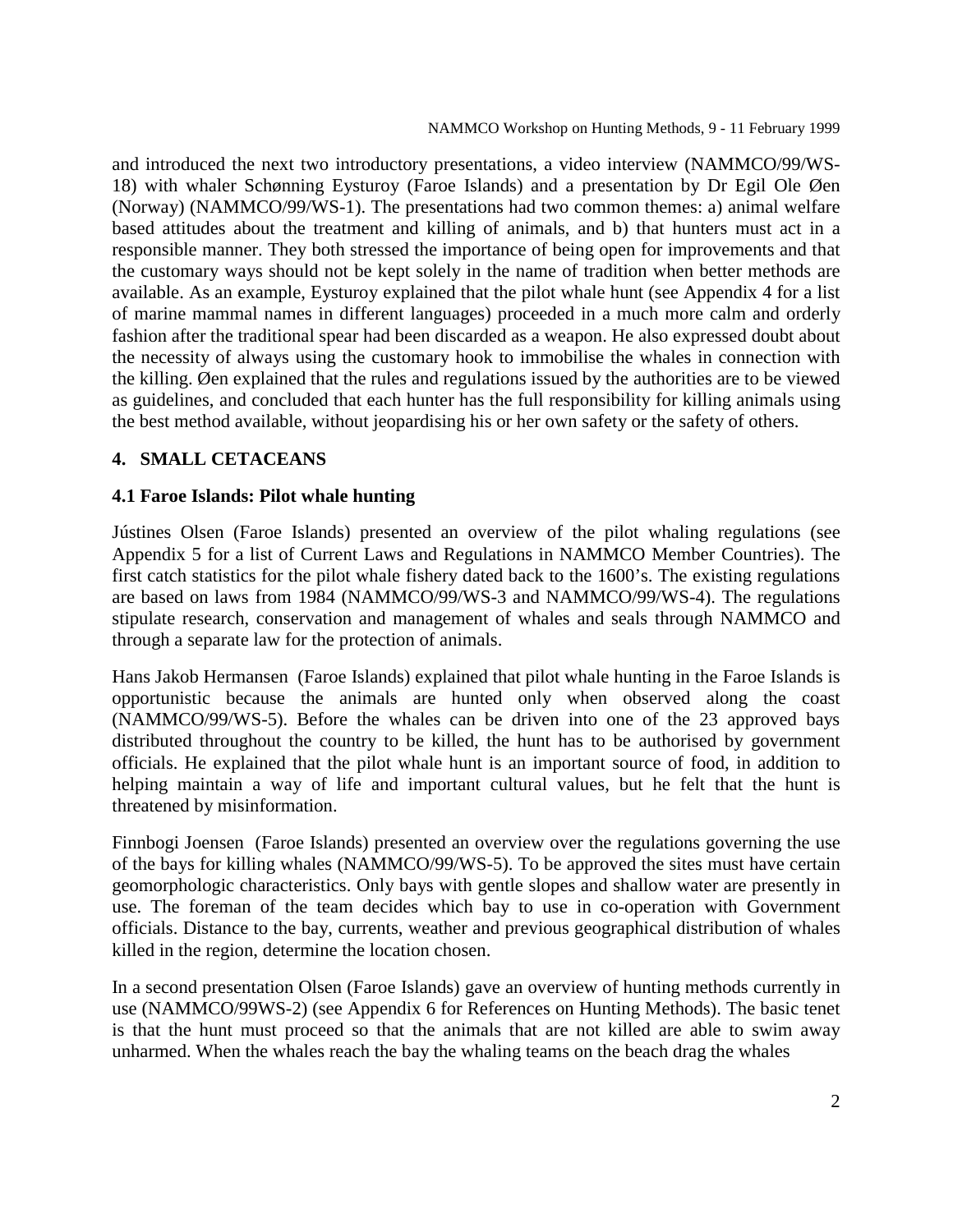and introduced the next two introductory presentations, a video interview (NAMMCO/99/WS-18) with whaler Schønning Eysturoy (Faroe Islands) and a presentation by Dr Egil Ole Øen (Norway) (NAMMCO/99/WS-1). The presentations had two common themes: a) animal welfare based attitudes about the treatment and killing of animals, and b) that hunters must act in a responsible manner. They both stressed the importance of being open for improvements and that the customary ways should not be kept solely in the name of tradition when better methods are available. As an example, Eysturoy explained that the pilot whale hunt (see Appendix 4 for a list of marine mammal names in different languages) proceeded in a much more calm and orderly fashion after the traditional spear had been discarded as a weapon. He also expressed doubt about the necessity of always using the customary hook to immobilise the whales in connection with the killing. Øen explained that the rules and regulations issued by the authorities are to be viewed as guidelines, and concluded that each hunter has the full responsibility for killing animals using the best method available, without jeopardising his or her own safety or the safety of others.

# **4. SMALL CETACEANS**

# **4.1 Faroe Islands: Pilot whale hunting**

Jústines Olsen (Faroe Islands) presented an overview of the pilot whaling regulations (see Appendix 5 for a list of Current Laws and Regulations in NAMMCO Member Countries). The first catch statistics for the pilot whale fishery dated back to the 1600's. The existing regulations are based on laws from 1984 (NAMMCO/99/WS-3 and NAMMCO/99/WS-4). The regulations stipulate research, conservation and management of whales and seals through NAMMCO and through a separate law for the protection of animals.

Hans Jakob Hermansen (Faroe Islands) explained that pilot whale hunting in the Faroe Islands is opportunistic because the animals are hunted only when observed along the coast (NAMMCO/99/WS-5). Before the whales can be driven into one of the 23 approved bays distributed throughout the country to be killed, the hunt has to be authorised by government officials. He explained that the pilot whale hunt is an important source of food, in addition to helping maintain a way of life and important cultural values, but he felt that the hunt is threatened by misinformation.

Finnbogi Joensen (Faroe Islands) presented an overview over the regulations governing the use of the bays for killing whales (NAMMCO/99/WS-5). To be approved the sites must have certain geomorphologic characteristics. Only bays with gentle slopes and shallow water are presently in use. The foreman of the team decides which bay to use in co-operation with Government officials. Distance to the bay, currents, weather and previous geographical distribution of whales killed in the region, determine the location chosen.

In a second presentation Olsen (Faroe Islands) gave an overview of hunting methods currently in use (NAMMCO/99WS-2) (see Appendix 6 for References on Hunting Methods). The basic tenet is that the hunt must proceed so that the animals that are not killed are able to swim away unharmed. When the whales reach the bay the whaling teams on the beach drag the whales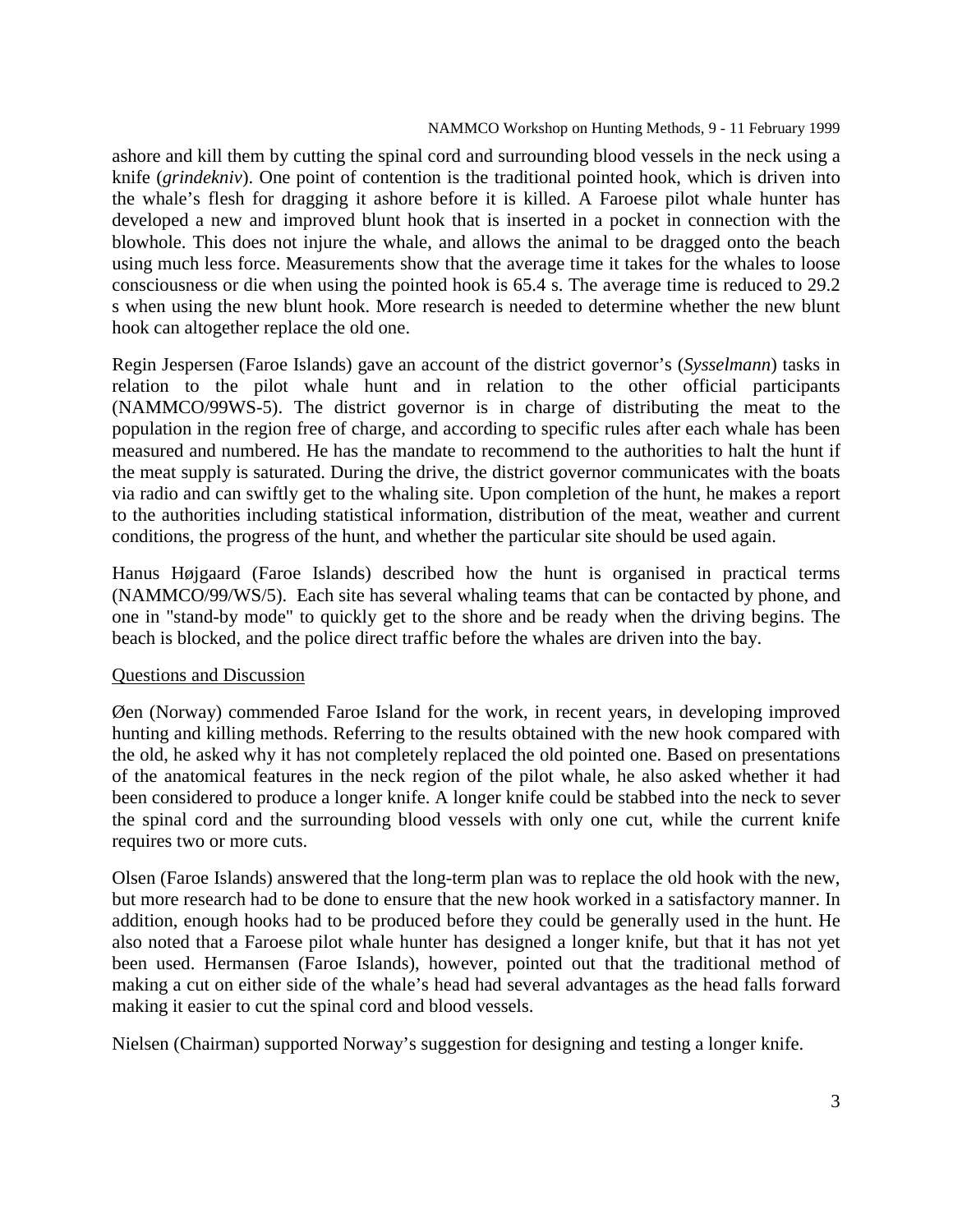#### NAMMCO Workshop on Hunting Methods, 9 - 11 February 1999

ashore and kill them by cutting the spinal cord and surrounding blood vessels in the neck using a knife (*grindekniv*). One point of contention is the traditional pointed hook, which is driven into the whale's flesh for dragging it ashore before it is killed. A Faroese pilot whale hunter has developed a new and improved blunt hook that is inserted in a pocket in connection with the blowhole. This does not injure the whale, and allows the animal to be dragged onto the beach using much less force. Measurements show that the average time it takes for the whales to loose consciousness or die when using the pointed hook is 65.4 s. The average time is reduced to 29.2 s when using the new blunt hook. More research is needed to determine whether the new blunt hook can altogether replace the old one.

Regin Jespersen (Faroe Islands) gave an account of the district governor's (*Sysselmann*) tasks in relation to the pilot whale hunt and in relation to the other official participants (NAMMCO/99WS-5). The district governor is in charge of distributing the meat to the population in the region free of charge, and according to specific rules after each whale has been measured and numbered. He has the mandate to recommend to the authorities to halt the hunt if the meat supply is saturated. During the drive, the district governor communicates with the boats via radio and can swiftly get to the whaling site. Upon completion of the hunt, he makes a report to the authorities including statistical information, distribution of the meat, weather and current conditions, the progress of the hunt, and whether the particular site should be used again.

Hanus Højgaard (Faroe Islands) described how the hunt is organised in practical terms (NAMMCO/99/WS/5). Each site has several whaling teams that can be contacted by phone, and one in "stand-by mode" to quickly get to the shore and be ready when the driving begins. The beach is blocked, and the police direct traffic before the whales are driven into the bay.

# Questions and Discussion

Øen (Norway) commended Faroe Island for the work, in recent years, in developing improved hunting and killing methods. Referring to the results obtained with the new hook compared with the old, he asked why it has not completely replaced the old pointed one. Based on presentations of the anatomical features in the neck region of the pilot whale, he also asked whether it had been considered to produce a longer knife. A longer knife could be stabbed into the neck to sever the spinal cord and the surrounding blood vessels with only one cut, while the current knife requires two or more cuts.

Olsen (Faroe Islands) answered that the long-term plan was to replace the old hook with the new, but more research had to be done to ensure that the new hook worked in a satisfactory manner. In addition, enough hooks had to be produced before they could be generally used in the hunt. He also noted that a Faroese pilot whale hunter has designed a longer knife, but that it has not yet been used. Hermansen (Faroe Islands), however, pointed out that the traditional method of making a cut on either side of the whale's head had several advantages as the head falls forward making it easier to cut the spinal cord and blood vessels.

Nielsen (Chairman) supported Norway's suggestion for designing and testing a longer knife.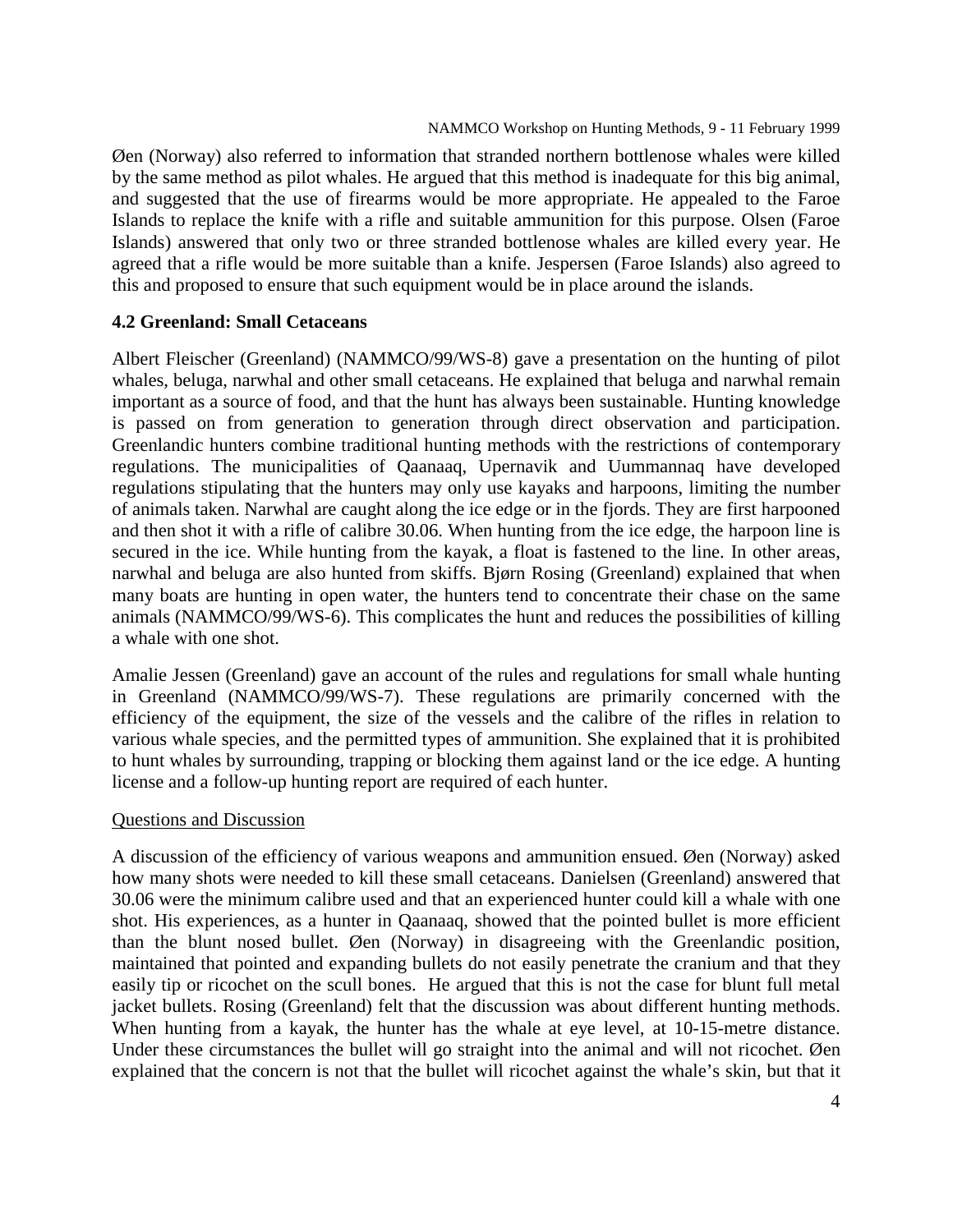Øen (Norway) also referred to information that stranded northern bottlenose whales were killed by the same method as pilot whales. He argued that this method is inadequate for this big animal, and suggested that the use of firearms would be more appropriate. He appealed to the Faroe Islands to replace the knife with a rifle and suitable ammunition for this purpose. Olsen (Faroe Islands) answered that only two or three stranded bottlenose whales are killed every year. He agreed that a rifle would be more suitable than a knife. Jespersen (Faroe Islands) also agreed to this and proposed to ensure that such equipment would be in place around the islands.

# **4.2 Greenland: Small Cetaceans**

Albert Fleischer (Greenland) (NAMMCO/99/WS-8) gave a presentation on the hunting of pilot whales, beluga, narwhal and other small cetaceans. He explained that beluga and narwhal remain important as a source of food, and that the hunt has always been sustainable. Hunting knowledge is passed on from generation to generation through direct observation and participation. Greenlandic hunters combine traditional hunting methods with the restrictions of contemporary regulations. The municipalities of Qaanaaq, Upernavik and Uummannaq have developed regulations stipulating that the hunters may only use kayaks and harpoons, limiting the number of animals taken. Narwhal are caught along the ice edge or in the fjords. They are first harpooned and then shot it with a rifle of calibre 30.06. When hunting from the ice edge, the harpoon line is secured in the ice. While hunting from the kayak, a float is fastened to the line. In other areas, narwhal and beluga are also hunted from skiffs. Bjørn Rosing (Greenland) explained that when many boats are hunting in open water, the hunters tend to concentrate their chase on the same animals (NAMMCO/99/WS-6). This complicates the hunt and reduces the possibilities of killing a whale with one shot.

Amalie Jessen (Greenland) gave an account of the rules and regulations for small whale hunting in Greenland (NAMMCO/99/WS-7). These regulations are primarily concerned with the efficiency of the equipment, the size of the vessels and the calibre of the rifles in relation to various whale species, and the permitted types of ammunition. She explained that it is prohibited to hunt whales by surrounding, trapping or blocking them against land or the ice edge. A hunting license and a follow-up hunting report are required of each hunter.

# Questions and Discussion

A discussion of the efficiency of various weapons and ammunition ensued. Øen (Norway) asked how many shots were needed to kill these small cetaceans. Danielsen (Greenland) answered that 30.06 were the minimum calibre used and that an experienced hunter could kill a whale with one shot. His experiences, as a hunter in Qaanaaq, showed that the pointed bullet is more efficient than the blunt nosed bullet. Øen (Norway) in disagreeing with the Greenlandic position, maintained that pointed and expanding bullets do not easily penetrate the cranium and that they easily tip or ricochet on the scull bones. He argued that this is not the case for blunt full metal jacket bullets. Rosing (Greenland) felt that the discussion was about different hunting methods. When hunting from a kayak, the hunter has the whale at eye level, at 10-15-metre distance. Under these circumstances the bullet will go straight into the animal and will not ricochet. Øen explained that the concern is not that the bullet will ricochet against the whale's skin, but that it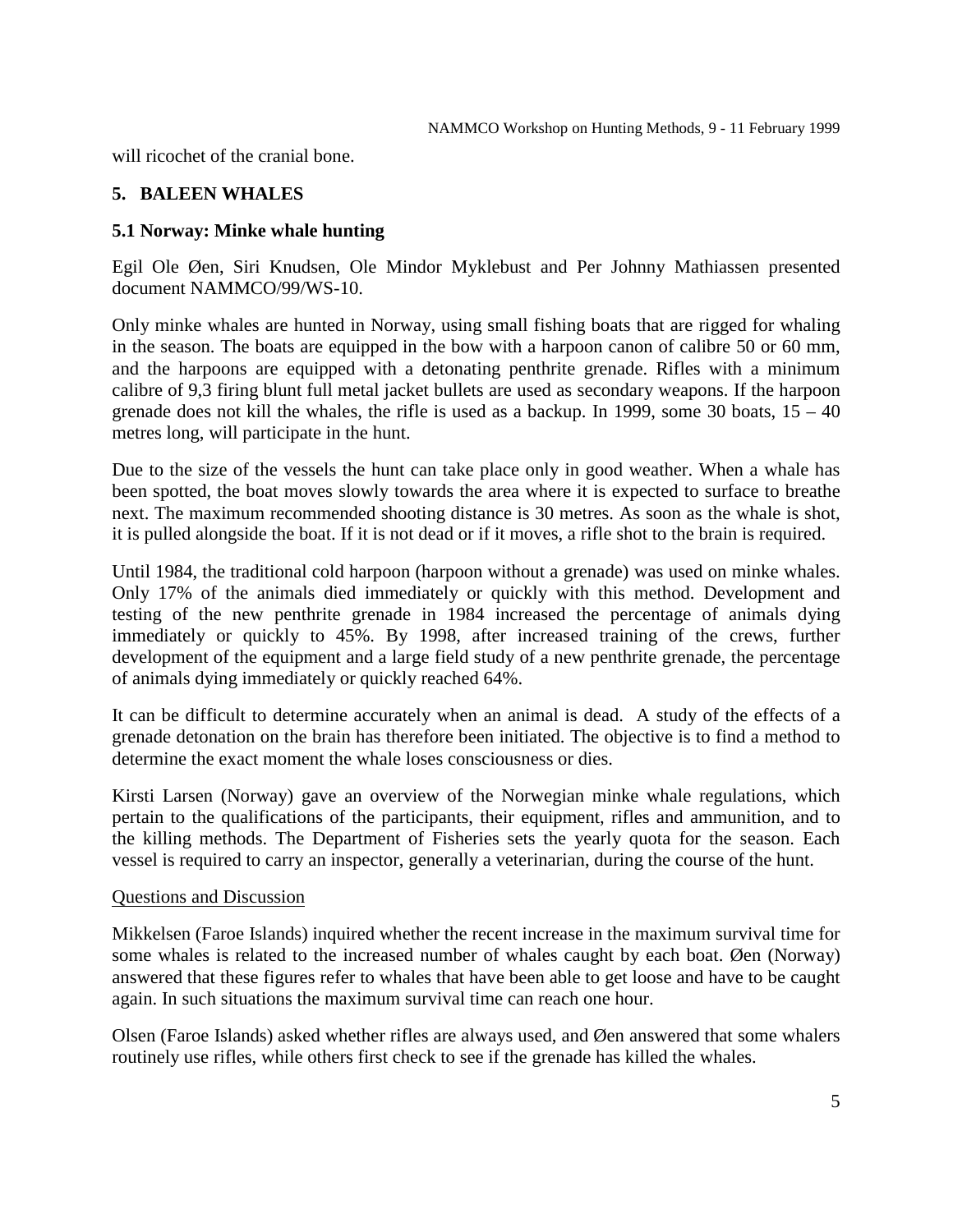will ricochet of the cranial bone.

# **5. BALEEN WHALES**

# **5.1 Norway: Minke whale hunting**

Egil Ole Øen, Siri Knudsen, Ole Mindor Myklebust and Per Johnny Mathiassen presented document NAMMCO/99/WS-10.

Only minke whales are hunted in Norway, using small fishing boats that are rigged for whaling in the season. The boats are equipped in the bow with a harpoon canon of calibre 50 or 60 mm, and the harpoons are equipped with a detonating penthrite grenade. Rifles with a minimum calibre of 9,3 firing blunt full metal jacket bullets are used as secondary weapons. If the harpoon grenade does not kill the whales, the rifle is used as a backup. In 1999, some 30 boats,  $15 - 40$ metres long, will participate in the hunt.

Due to the size of the vessels the hunt can take place only in good weather. When a whale has been spotted, the boat moves slowly towards the area where it is expected to surface to breathe next. The maximum recommended shooting distance is 30 metres. As soon as the whale is shot, it is pulled alongside the boat. If it is not dead or if it moves, a rifle shot to the brain is required.

Until 1984, the traditional cold harpoon (harpoon without a grenade) was used on minke whales. Only 17% of the animals died immediately or quickly with this method. Development and testing of the new penthrite grenade in 1984 increased the percentage of animals dying immediately or quickly to 45%. By 1998, after increased training of the crews, further development of the equipment and a large field study of a new penthrite grenade, the percentage of animals dying immediately or quickly reached 64%.

It can be difficult to determine accurately when an animal is dead. A study of the effects of a grenade detonation on the brain has therefore been initiated. The objective is to find a method to determine the exact moment the whale loses consciousness or dies.

Kirsti Larsen (Norway) gave an overview of the Norwegian minke whale regulations, which pertain to the qualifications of the participants, their equipment, rifles and ammunition, and to the killing methods. The Department of Fisheries sets the yearly quota for the season. Each vessel is required to carry an inspector, generally a veterinarian, during the course of the hunt.

# Questions and Discussion

Mikkelsen (Faroe Islands) inquired whether the recent increase in the maximum survival time for some whales is related to the increased number of whales caught by each boat. Øen (Norway) answered that these figures refer to whales that have been able to get loose and have to be caught again. In such situations the maximum survival time can reach one hour.

Olsen (Faroe Islands) asked whether rifles are always used, and Øen answered that some whalers routinely use rifles, while others first check to see if the grenade has killed the whales.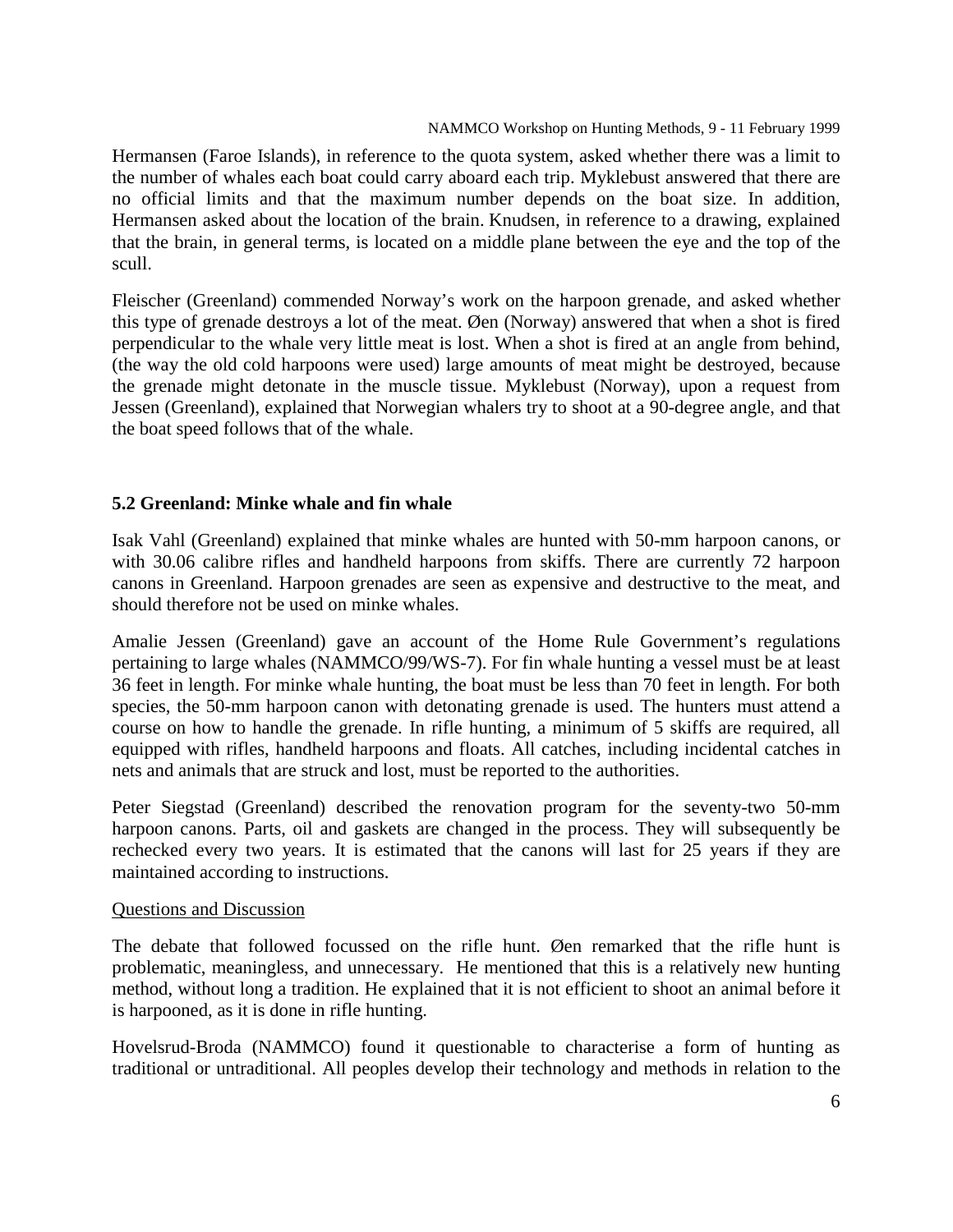Hermansen (Faroe Islands), in reference to the quota system, asked whether there was a limit to the number of whales each boat could carry aboard each trip. Myklebust answered that there are no official limits and that the maximum number depends on the boat size. In addition, Hermansen asked about the location of the brain. Knudsen, in reference to a drawing, explained that the brain, in general terms, is located on a middle plane between the eye and the top of the scull.

Fleischer (Greenland) commended Norway's work on the harpoon grenade, and asked whether this type of grenade destroys a lot of the meat. Øen (Norway) answered that when a shot is fired perpendicular to the whale very little meat is lost. When a shot is fired at an angle from behind, (the way the old cold harpoons were used) large amounts of meat might be destroyed, because the grenade might detonate in the muscle tissue. Myklebust (Norway), upon a request from Jessen (Greenland), explained that Norwegian whalers try to shoot at a 90-degree angle, and that the boat speed follows that of the whale.

# **5.2 Greenland: Minke whale and fin whale**

Isak Vahl (Greenland) explained that minke whales are hunted with 50-mm harpoon canons, or with 30.06 calibre rifles and handheld harpoons from skiffs. There are currently 72 harpoon canons in Greenland. Harpoon grenades are seen as expensive and destructive to the meat, and should therefore not be used on minke whales.

Amalie Jessen (Greenland) gave an account of the Home Rule Government's regulations pertaining to large whales (NAMMCO/99/WS-7). For fin whale hunting a vessel must be at least 36 feet in length. For minke whale hunting, the boat must be less than 70 feet in length. For both species, the 50-mm harpoon canon with detonating grenade is used. The hunters must attend a course on how to handle the grenade. In rifle hunting, a minimum of 5 skiffs are required, all equipped with rifles, handheld harpoons and floats. All catches, including incidental catches in nets and animals that are struck and lost, must be reported to the authorities.

Peter Siegstad (Greenland) described the renovation program for the seventy-two 50-mm harpoon canons. Parts, oil and gaskets are changed in the process. They will subsequently be rechecked every two years. It is estimated that the canons will last for 25 years if they are maintained according to instructions.

# Questions and Discussion

The debate that followed focussed on the rifle hunt. Øen remarked that the rifle hunt is problematic, meaningless, and unnecessary. He mentioned that this is a relatively new hunting method, without long a tradition. He explained that it is not efficient to shoot an animal before it is harpooned, as it is done in rifle hunting.

Hovelsrud-Broda (NAMMCO) found it questionable to characterise a form of hunting as traditional or untraditional. All peoples develop their technology and methods in relation to the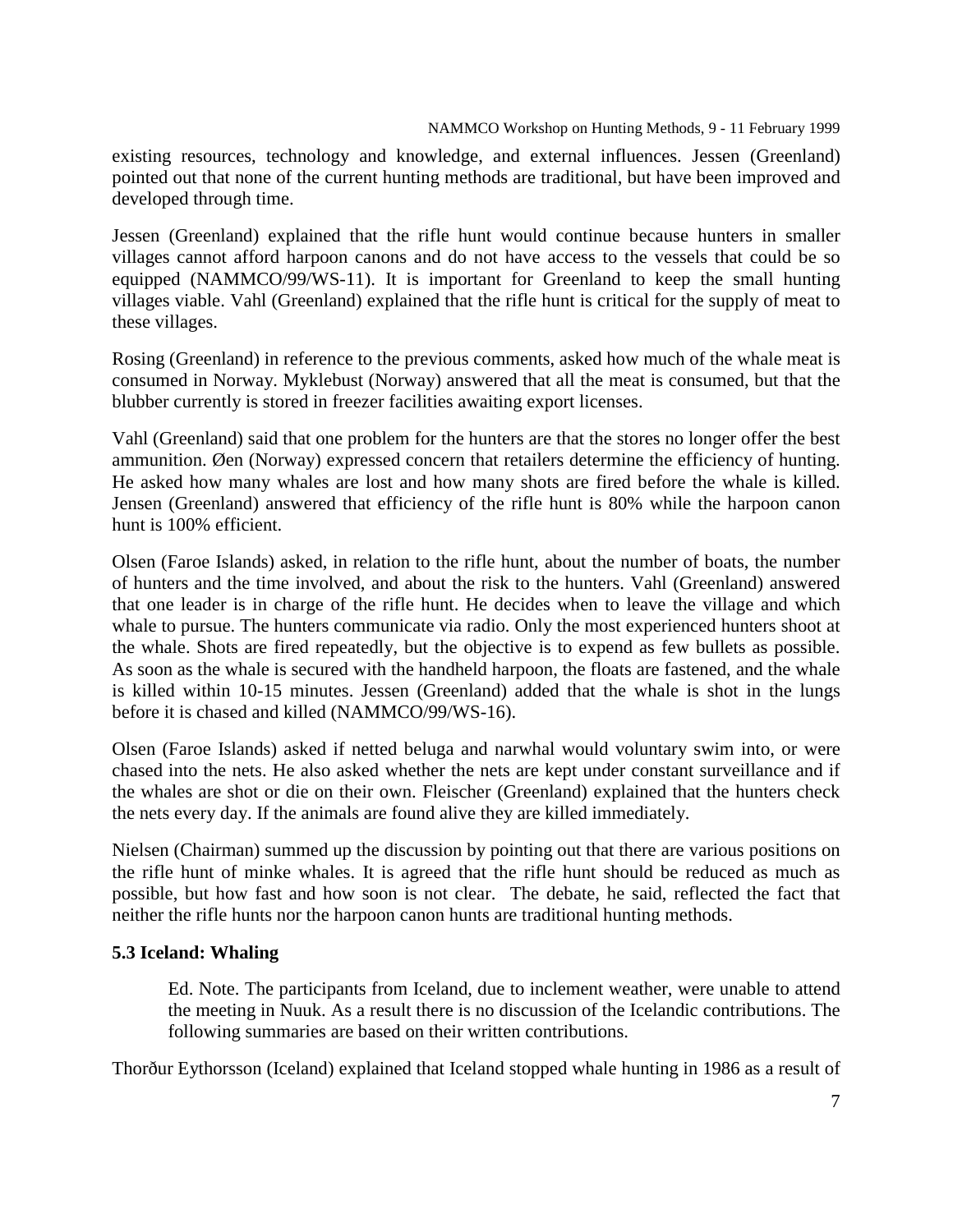NAMMCO Workshop on Hunting Methods, 9 - 11 February 1999

existing resources, technology and knowledge, and external influences. Jessen (Greenland) pointed out that none of the current hunting methods are traditional, but have been improved and developed through time.

Jessen (Greenland) explained that the rifle hunt would continue because hunters in smaller villages cannot afford harpoon canons and do not have access to the vessels that could be so equipped (NAMMCO/99/WS-11). It is important for Greenland to keep the small hunting villages viable. Vahl (Greenland) explained that the rifle hunt is critical for the supply of meat to these villages.

Rosing (Greenland) in reference to the previous comments, asked how much of the whale meat is consumed in Norway. Myklebust (Norway) answered that all the meat is consumed, but that the blubber currently is stored in freezer facilities awaiting export licenses.

Vahl (Greenland) said that one problem for the hunters are that the stores no longer offer the best ammunition. Øen (Norway) expressed concern that retailers determine the efficiency of hunting. He asked how many whales are lost and how many shots are fired before the whale is killed. Jensen (Greenland) answered that efficiency of the rifle hunt is 80% while the harpoon canon hunt is 100% efficient.

Olsen (Faroe Islands) asked, in relation to the rifle hunt, about the number of boats, the number of hunters and the time involved, and about the risk to the hunters. Vahl (Greenland) answered that one leader is in charge of the rifle hunt. He decides when to leave the village and which whale to pursue. The hunters communicate via radio. Only the most experienced hunters shoot at the whale. Shots are fired repeatedly, but the objective is to expend as few bullets as possible. As soon as the whale is secured with the handheld harpoon, the floats are fastened, and the whale is killed within 10-15 minutes. Jessen (Greenland) added that the whale is shot in the lungs before it is chased and killed (NAMMCO/99/WS-16).

Olsen (Faroe Islands) asked if netted beluga and narwhal would voluntary swim into, or were chased into the nets. He also asked whether the nets are kept under constant surveillance and if the whales are shot or die on their own. Fleischer (Greenland) explained that the hunters check the nets every day. If the animals are found alive they are killed immediately.

Nielsen (Chairman) summed up the discussion by pointing out that there are various positions on the rifle hunt of minke whales. It is agreed that the rifle hunt should be reduced as much as possible, but how fast and how soon is not clear. The debate, he said, reflected the fact that neither the rifle hunts nor the harpoon canon hunts are traditional hunting methods.

# **5.3 Iceland: Whaling**

Ed. Note. The participants from Iceland, due to inclement weather, were unable to attend the meeting in Nuuk. As a result there is no discussion of the Icelandic contributions. The following summaries are based on their written contributions.

Thorður Eythorsson (Iceland) explained that Iceland stopped whale hunting in 1986 as a result of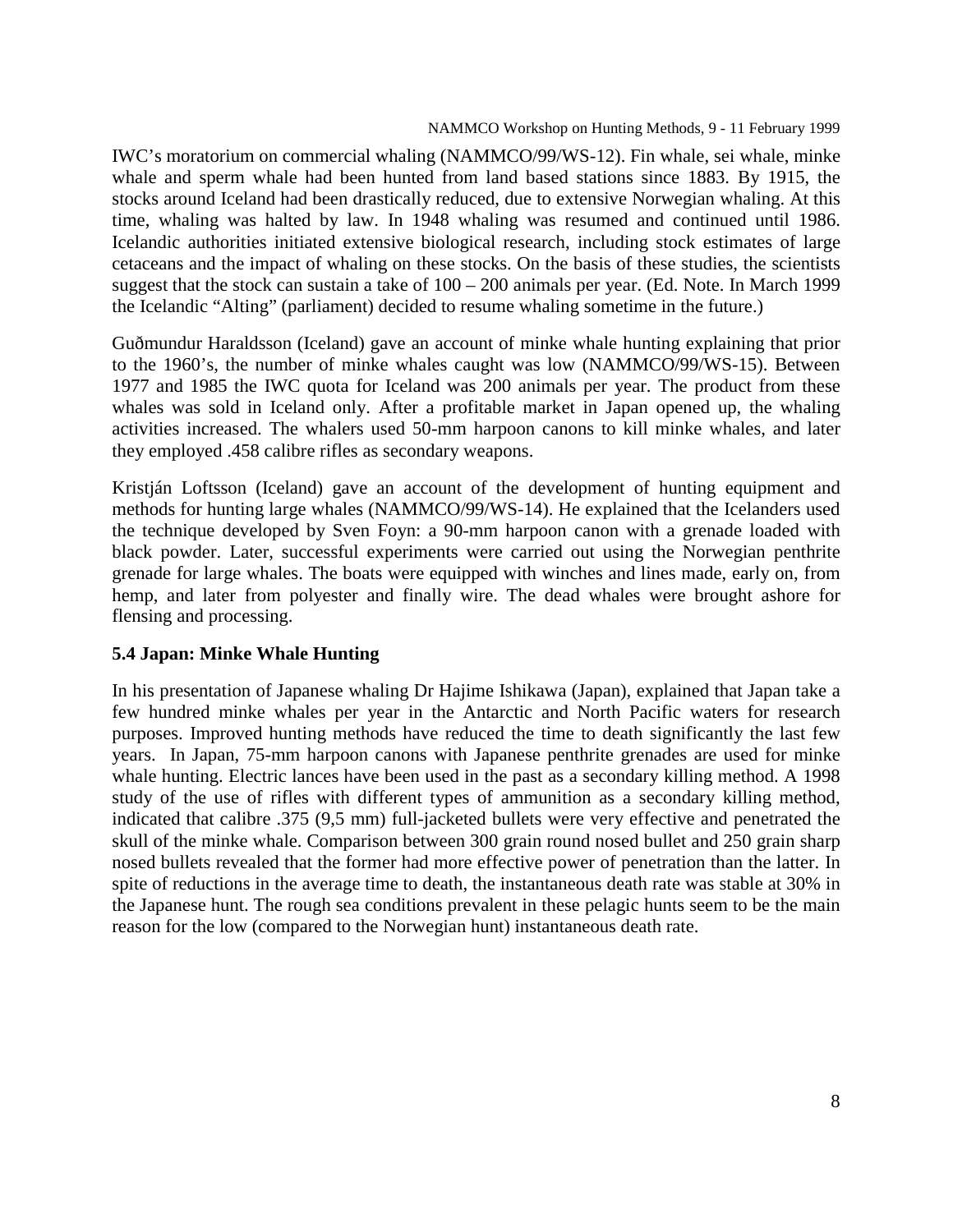IWC's moratorium on commercial whaling (NAMMCO/99/WS-12). Fin whale, sei whale, minke whale and sperm whale had been hunted from land based stations since 1883. By 1915, the stocks around Iceland had been drastically reduced, due to extensive Norwegian whaling. At this time, whaling was halted by law. In 1948 whaling was resumed and continued until 1986. Icelandic authorities initiated extensive biological research, including stock estimates of large cetaceans and the impact of whaling on these stocks. On the basis of these studies, the scientists suggest that the stock can sustain a take of 100 – 200 animals per year. (Ed. Note. In March 1999 the Icelandic "Alting" (parliament) decided to resume whaling sometime in the future.)

Guðmundur Haraldsson (Iceland) gave an account of minke whale hunting explaining that prior to the 1960's, the number of minke whales caught was low (NAMMCO/99/WS-15). Between 1977 and 1985 the IWC quota for Iceland was 200 animals per year. The product from these whales was sold in Iceland only. After a profitable market in Japan opened up, the whaling activities increased. The whalers used 50-mm harpoon canons to kill minke whales, and later they employed .458 calibre rifles as secondary weapons.

Kristján Loftsson (Iceland) gave an account of the development of hunting equipment and methods for hunting large whales (NAMMCO/99/WS-14). He explained that the Icelanders used the technique developed by Sven Foyn: a 90-mm harpoon canon with a grenade loaded with black powder. Later, successful experiments were carried out using the Norwegian penthrite grenade for large whales. The boats were equipped with winches and lines made, early on, from hemp, and later from polyester and finally wire. The dead whales were brought ashore for flensing and processing.

# **5.4 Japan: Minke Whale Hunting**

In his presentation of Japanese whaling Dr Hajime Ishikawa (Japan), explained that Japan take a few hundred minke whales per year in the Antarctic and North Pacific waters for research purposes. Improved hunting methods have reduced the time to death significantly the last few years. In Japan, 75-mm harpoon canons with Japanese penthrite grenades are used for minke whale hunting. Electric lances have been used in the past as a secondary killing method. A 1998 study of the use of rifles with different types of ammunition as a secondary killing method, indicated that calibre .375 (9,5 mm) full-jacketed bullets were very effective and penetrated the skull of the minke whale. Comparison between 300 grain round nosed bullet and 250 grain sharp nosed bullets revealed that the former had more effective power of penetration than the latter. In spite of reductions in the average time to death, the instantaneous death rate was stable at 30% in the Japanese hunt. The rough sea conditions prevalent in these pelagic hunts seem to be the main reason for the low (compared to the Norwegian hunt) instantaneous death rate.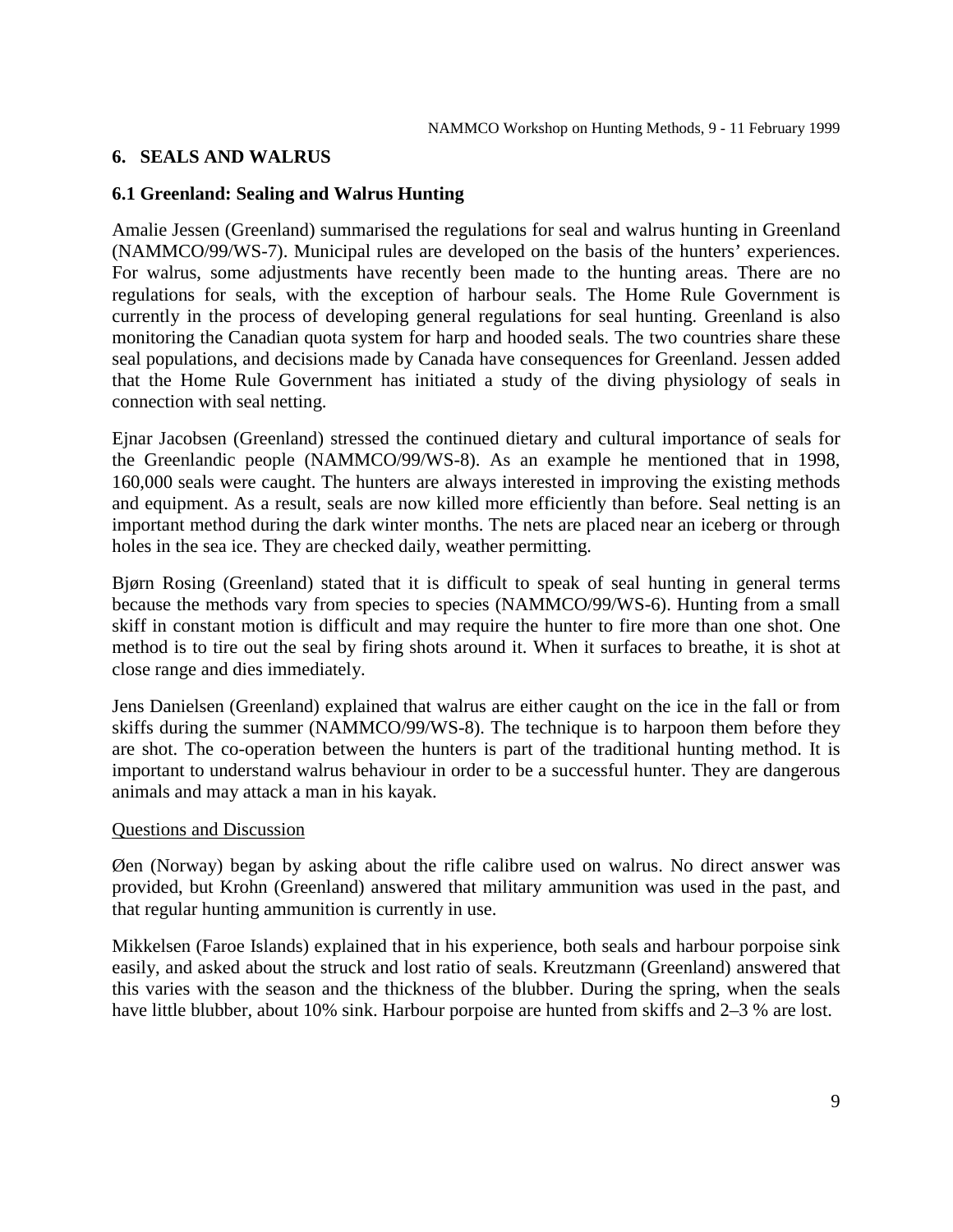# **6. SEALS AND WALRUS**

# **6.1 Greenland: Sealing and Walrus Hunting**

Amalie Jessen (Greenland) summarised the regulations for seal and walrus hunting in Greenland (NAMMCO/99/WS-7). Municipal rules are developed on the basis of the hunters' experiences. For walrus, some adjustments have recently been made to the hunting areas. There are no regulations for seals, with the exception of harbour seals. The Home Rule Government is currently in the process of developing general regulations for seal hunting. Greenland is also monitoring the Canadian quota system for harp and hooded seals. The two countries share these seal populations, and decisions made by Canada have consequences for Greenland. Jessen added that the Home Rule Government has initiated a study of the diving physiology of seals in connection with seal netting.

Ejnar Jacobsen (Greenland) stressed the continued dietary and cultural importance of seals for the Greenlandic people (NAMMCO/99/WS-8). As an example he mentioned that in 1998, 160,000 seals were caught. The hunters are always interested in improving the existing methods and equipment. As a result, seals are now killed more efficiently than before. Seal netting is an important method during the dark winter months. The nets are placed near an iceberg or through holes in the sea ice. They are checked daily, weather permitting.

Bjørn Rosing (Greenland) stated that it is difficult to speak of seal hunting in general terms because the methods vary from species to species (NAMMCO/99/WS-6). Hunting from a small skiff in constant motion is difficult and may require the hunter to fire more than one shot. One method is to tire out the seal by firing shots around it. When it surfaces to breathe, it is shot at close range and dies immediately.

Jens Danielsen (Greenland) explained that walrus are either caught on the ice in the fall or from skiffs during the summer (NAMMCO/99/WS-8). The technique is to harpoon them before they are shot. The co-operation between the hunters is part of the traditional hunting method. It is important to understand walrus behaviour in order to be a successful hunter. They are dangerous animals and may attack a man in his kayak.

#### Questions and Discussion

Øen (Norway) began by asking about the rifle calibre used on walrus. No direct answer was provided, but Krohn (Greenland) answered that military ammunition was used in the past, and that regular hunting ammunition is currently in use.

Mikkelsen (Faroe Islands) explained that in his experience, both seals and harbour porpoise sink easily, and asked about the struck and lost ratio of seals. Kreutzmann (Greenland) answered that this varies with the season and the thickness of the blubber. During the spring, when the seals have little blubber, about 10% sink. Harbour porpoise are hunted from skiffs and 2–3 % are lost.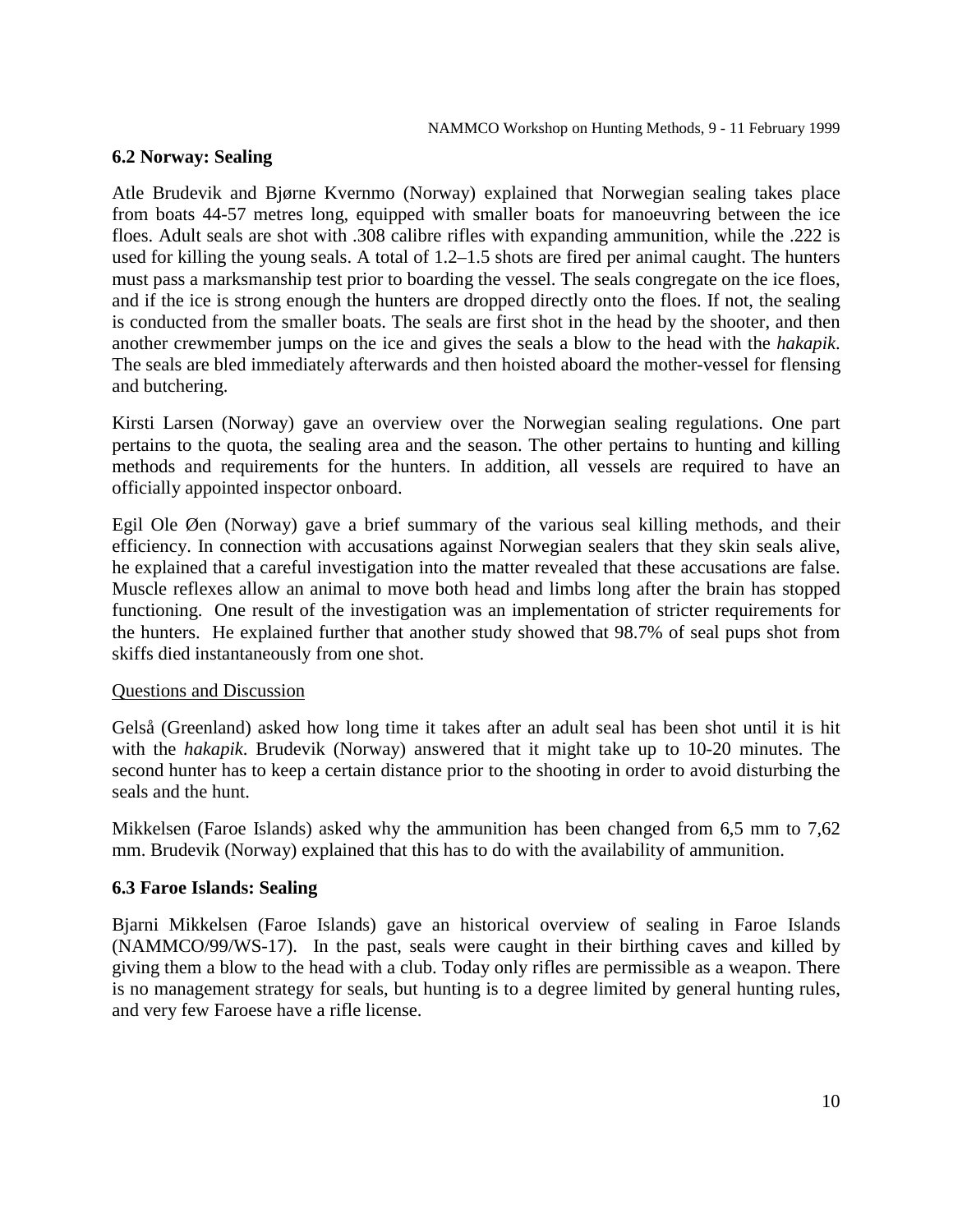# **6.2 Norway: Sealing**

Atle Brudevik and Bjørne Kvernmo (Norway) explained that Norwegian sealing takes place from boats 44-57 metres long, equipped with smaller boats for manoeuvring between the ice floes. Adult seals are shot with .308 calibre rifles with expanding ammunition, while the .222 is used for killing the young seals. A total of 1.2–1.5 shots are fired per animal caught. The hunters must pass a marksmanship test prior to boarding the vessel. The seals congregate on the ice floes, and if the ice is strong enough the hunters are dropped directly onto the floes. If not, the sealing is conducted from the smaller boats. The seals are first shot in the head by the shooter, and then another crewmember jumps on the ice and gives the seals a blow to the head with the *hakapik*. The seals are bled immediately afterwards and then hoisted aboard the mother-vessel for flensing and butchering.

Kirsti Larsen (Norway) gave an overview over the Norwegian sealing regulations. One part pertains to the quota, the sealing area and the season. The other pertains to hunting and killing methods and requirements for the hunters. In addition, all vessels are required to have an officially appointed inspector onboard.

Egil Ole Øen (Norway) gave a brief summary of the various seal killing methods, and their efficiency. In connection with accusations against Norwegian sealers that they skin seals alive, he explained that a careful investigation into the matter revealed that these accusations are false. Muscle reflexes allow an animal to move both head and limbs long after the brain has stopped functioning. One result of the investigation was an implementation of stricter requirements for the hunters. He explained further that another study showed that 98.7% of seal pups shot from skiffs died instantaneously from one shot.

# Questions and Discussion

Gelså (Greenland) asked how long time it takes after an adult seal has been shot until it is hit with the *hakapik*. Brudevik (Norway) answered that it might take up to 10-20 minutes. The second hunter has to keep a certain distance prior to the shooting in order to avoid disturbing the seals and the hunt.

Mikkelsen (Faroe Islands) asked why the ammunition has been changed from 6,5 mm to 7,62 mm. Brudevik (Norway) explained that this has to do with the availability of ammunition.

# **6.3 Faroe Islands: Sealing**

Bjarni Mikkelsen (Faroe Islands) gave an historical overview of sealing in Faroe Islands (NAMMCO/99/WS-17). In the past, seals were caught in their birthing caves and killed by giving them a blow to the head with a club. Today only rifles are permissible as a weapon. There is no management strategy for seals, but hunting is to a degree limited by general hunting rules, and very few Faroese have a rifle license.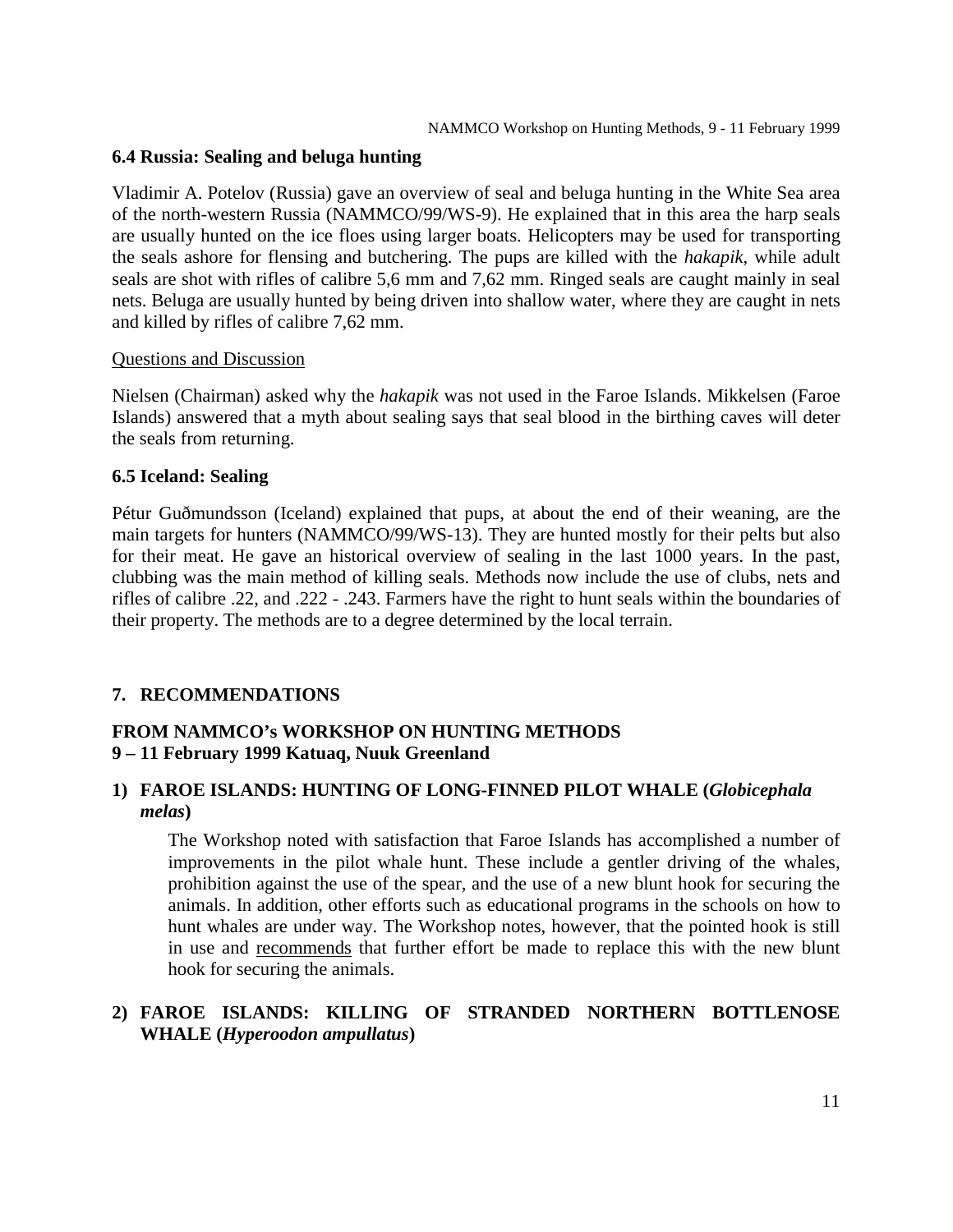## **6.4 Russia: Sealing and beluga hunting**

Vladimir A. Potelov (Russia) gave an overview of seal and beluga hunting in the White Sea area of the north-western Russia (NAMMCO/99/WS-9). He explained that in this area the harp seals are usually hunted on the ice floes using larger boats. Helicopters may be used for transporting the seals ashore for flensing and butchering. The pups are killed with the *hakapik*, while adult seals are shot with rifles of calibre 5,6 mm and 7,62 mm. Ringed seals are caught mainly in seal nets. Beluga are usually hunted by being driven into shallow water, where they are caught in nets and killed by rifles of calibre 7,62 mm.

## Questions and Discussion

Nielsen (Chairman) asked why the *hakapik* was not used in the Faroe Islands. Mikkelsen (Faroe Islands) answered that a myth about sealing says that seal blood in the birthing caves will deter the seals from returning.

## **6.5 Iceland: Sealing**

Pétur Guðmundsson (Iceland) explained that pups, at about the end of their weaning, are the main targets for hunters (NAMMCO/99/WS-13). They are hunted mostly for their pelts but also for their meat. He gave an historical overview of sealing in the last 1000 years. In the past, clubbing was the main method of killing seals. Methods now include the use of clubs, nets and rifles of calibre .22, and .222 - .243. Farmers have the right to hunt seals within the boundaries of their property. The methods are to a degree determined by the local terrain.

# **7. RECOMMENDATIONS**

# **FROM NAMMCO's WORKSHOP ON HUNTING METHODS 9 – 11 February 1999 Katuaq, Nuuk Greenland**

# **1) FAROE ISLANDS: HUNTING OF LONG-FINNED PILOT WHALE (***Globicephala melas***)**

The Workshop noted with satisfaction that Faroe Islands has accomplished a number of improvements in the pilot whale hunt. These include a gentler driving of the whales, prohibition against the use of the spear, and the use of a new blunt hook for securing the animals. In addition, other efforts such as educational programs in the schools on how to hunt whales are under way. The Workshop notes, however, that the pointed hook is still in use and recommends that further effort be made to replace this with the new blunt hook for securing the animals.

# **2) FAROE ISLANDS: KILLING OF STRANDED NORTHERN BOTTLENOSE WHALE (***Hyperoodon ampullatus***)**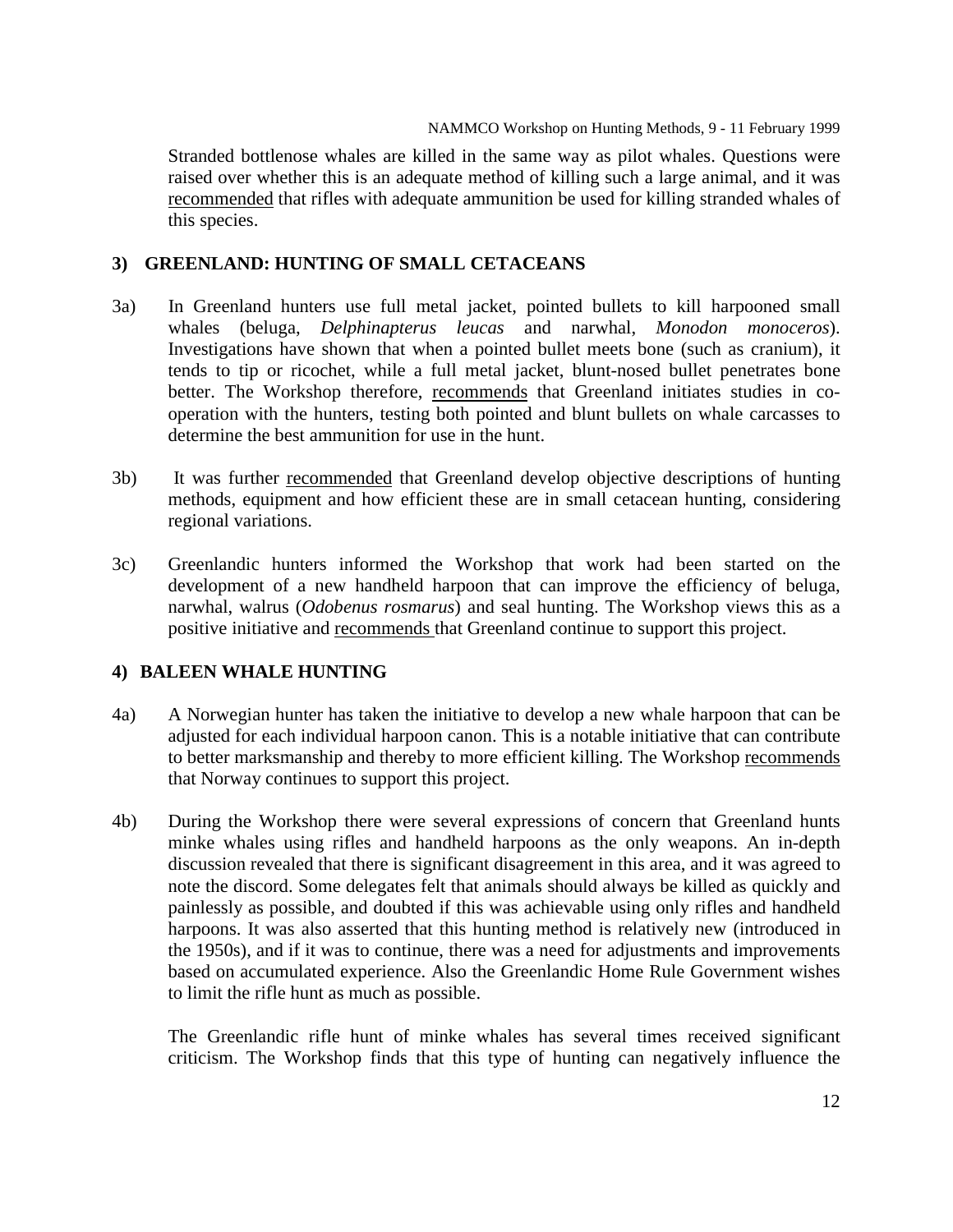Stranded bottlenose whales are killed in the same way as pilot whales. Questions were raised over whether this is an adequate method of killing such a large animal, and it was recommended that rifles with adequate ammunition be used for killing stranded whales of this species.

# **3) GREENLAND: HUNTING OF SMALL CETACEANS**

- 3a) In Greenland hunters use full metal jacket, pointed bullets to kill harpooned small whales (beluga, *Delphinapterus leucas* and narwhal, *Monodon monoceros*). Investigations have shown that when a pointed bullet meets bone (such as cranium), it tends to tip or ricochet, while a full metal jacket, blunt-nosed bullet penetrates bone better. The Workshop therefore, recommends that Greenland initiates studies in cooperation with the hunters, testing both pointed and blunt bullets on whale carcasses to determine the best ammunition for use in the hunt.
- 3b) It was further recommended that Greenland develop objective descriptions of hunting methods, equipment and how efficient these are in small cetacean hunting, considering regional variations.
- 3c) Greenlandic hunters informed the Workshop that work had been started on the development of a new handheld harpoon that can improve the efficiency of beluga, narwhal, walrus (*Odobenus rosmarus*) and seal hunting. The Workshop views this as a positive initiative and recommends that Greenland continue to support this project.

# **4) BALEEN WHALE HUNTING**

- 4a) A Norwegian hunter has taken the initiative to develop a new whale harpoon that can be adjusted for each individual harpoon canon. This is a notable initiative that can contribute to better marksmanship and thereby to more efficient killing. The Workshop recommends that Norway continues to support this project.
- 4b) During the Workshop there were several expressions of concern that Greenland hunts minke whales using rifles and handheld harpoons as the only weapons. An in-depth discussion revealed that there is significant disagreement in this area, and it was agreed to note the discord. Some delegates felt that animals should always be killed as quickly and painlessly as possible, and doubted if this was achievable using only rifles and handheld harpoons. It was also asserted that this hunting method is relatively new (introduced in the 1950s), and if it was to continue, there was a need for adjustments and improvements based on accumulated experience. Also the Greenlandic Home Rule Government wishes to limit the rifle hunt as much as possible.

The Greenlandic rifle hunt of minke whales has several times received significant criticism. The Workshop finds that this type of hunting can negatively influence the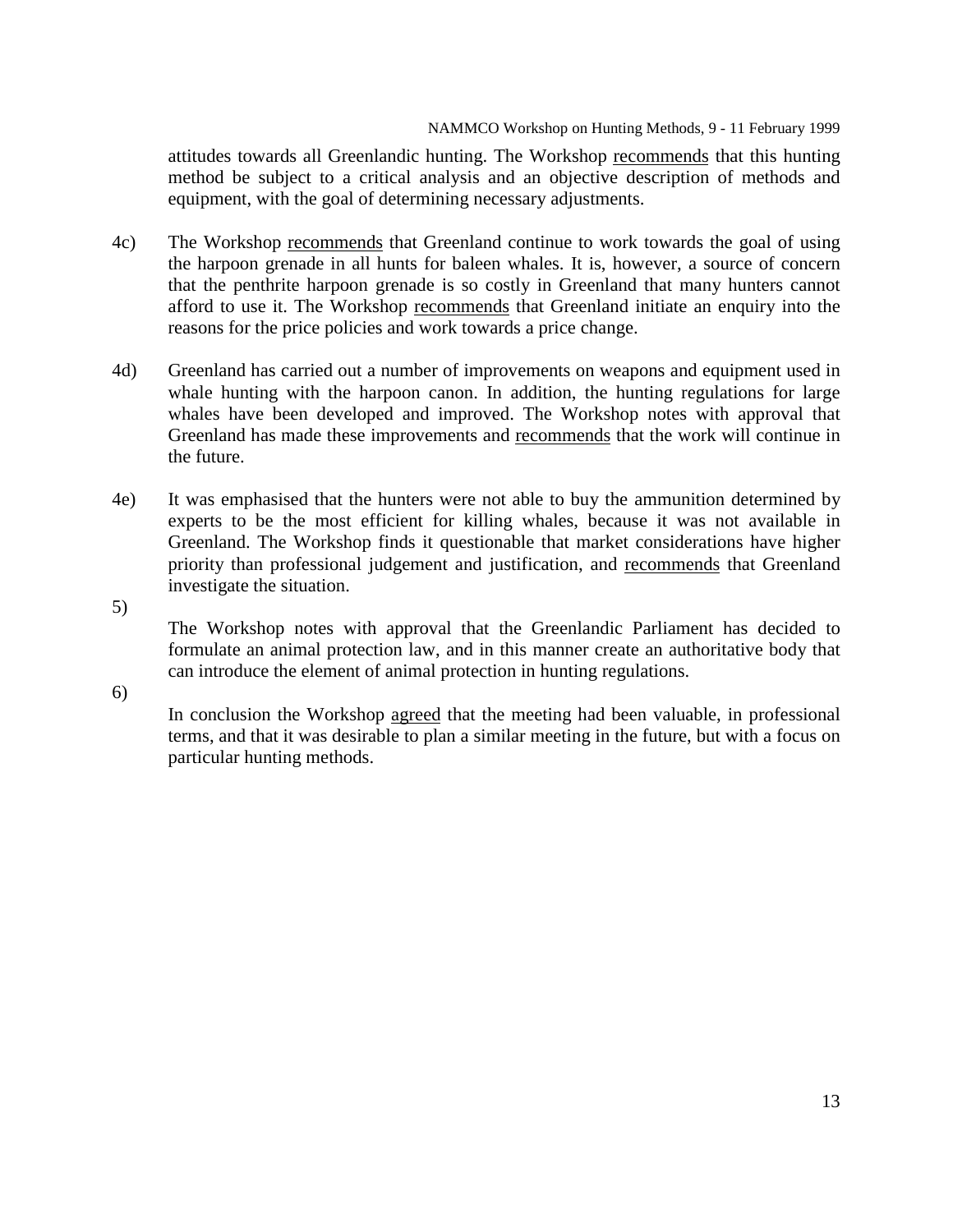attitudes towards all Greenlandic hunting. The Workshop recommends that this hunting method be subject to a critical analysis and an objective description of methods and equipment, with the goal of determining necessary adjustments.

- 4c) The Workshop recommends that Greenland continue to work towards the goal of using the harpoon grenade in all hunts for baleen whales. It is, however, a source of concern that the penthrite harpoon grenade is so costly in Greenland that many hunters cannot afford to use it. The Workshop recommends that Greenland initiate an enquiry into the reasons for the price policies and work towards a price change.
- 4d) Greenland has carried out a number of improvements on weapons and equipment used in whale hunting with the harpoon canon. In addition, the hunting regulations for large whales have been developed and improved. The Workshop notes with approval that Greenland has made these improvements and recommends that the work will continue in the future.
- 4e) It was emphasised that the hunters were not able to buy the ammunition determined by experts to be the most efficient for killing whales, because it was not available in Greenland. The Workshop finds it questionable that market considerations have higher priority than professional judgement and justification, and recommends that Greenland investigate the situation.
- 5)

The Workshop notes with approval that the Greenlandic Parliament has decided to formulate an animal protection law, and in this manner create an authoritative body that can introduce the element of animal protection in hunting regulations.

6)

In conclusion the Workshop agreed that the meeting had been valuable, in professional terms, and that it was desirable to plan a similar meeting in the future, but with a focus on particular hunting methods.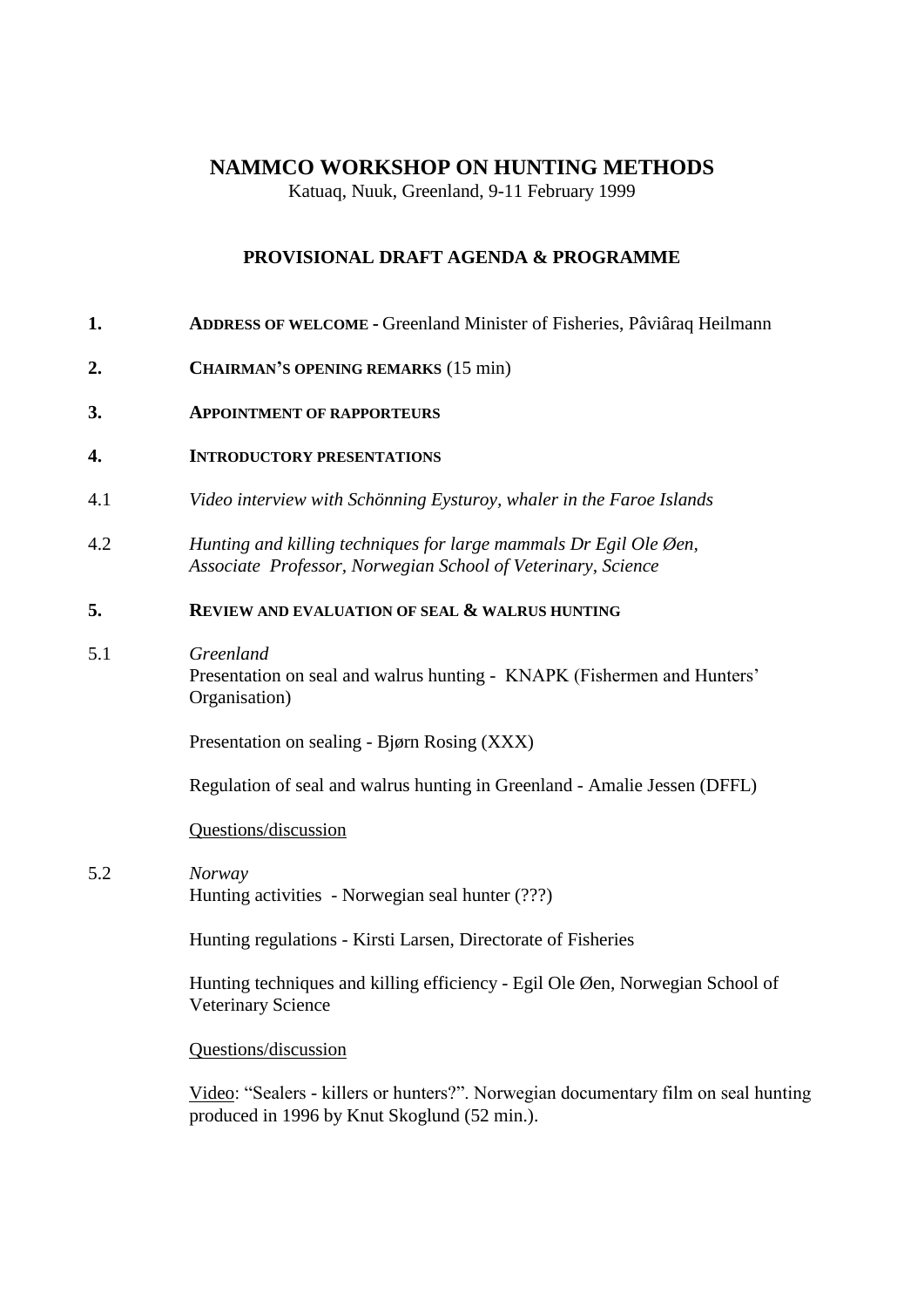# **NAMMCO WORKSHOP ON HUNTING METHODS**

Katuaq, Nuuk, Greenland, 9-11 February 1999

# **PROVISIONAL DRAFT AGENDA & PROGRAMME**

- **1. ADDRESS OF WELCOME -** Greenland Minister of Fisheries, Pâviâraq Heilmann
- **2. CHAIRMAN'S OPENING REMARKS** (15 min)
- **3. APPOINTMENT OF RAPPORTEURS**
- **4. INTRODUCTORY PRESENTATIONS**
- 4.1 *Video interview with Schönning Eysturoy, whaler in the Faroe Islands*
- 4.2 *Hunting and killing techniques for large mammals Dr Egil Ole Øen, Associate Professor, Norwegian School of Veterinary, Science*

# **5. REVIEW AND EVALUATION OF SEAL & WALRUS HUNTING**

5.1 *Greenland*

Presentation on seal and walrus hunting - KNAPK (Fishermen and Hunters' Organisation)

Presentation on sealing - Bjørn Rosing (XXX)

Regulation of seal and walrus hunting in Greenland - Amalie Jessen (DFFL)

#### Questions/discussion

5.2 *Norway*  Hunting activities - Norwegian seal hunter (???)

Hunting regulations - Kirsti Larsen, Directorate of Fisheries

Hunting techniques and killing efficiency - Egil Ole Øen, Norwegian School of Veterinary Science

Questions/discussion

Video: "Sealers - killers or hunters?". Norwegian documentary film on seal hunting produced in 1996 by Knut Skoglund (52 min.).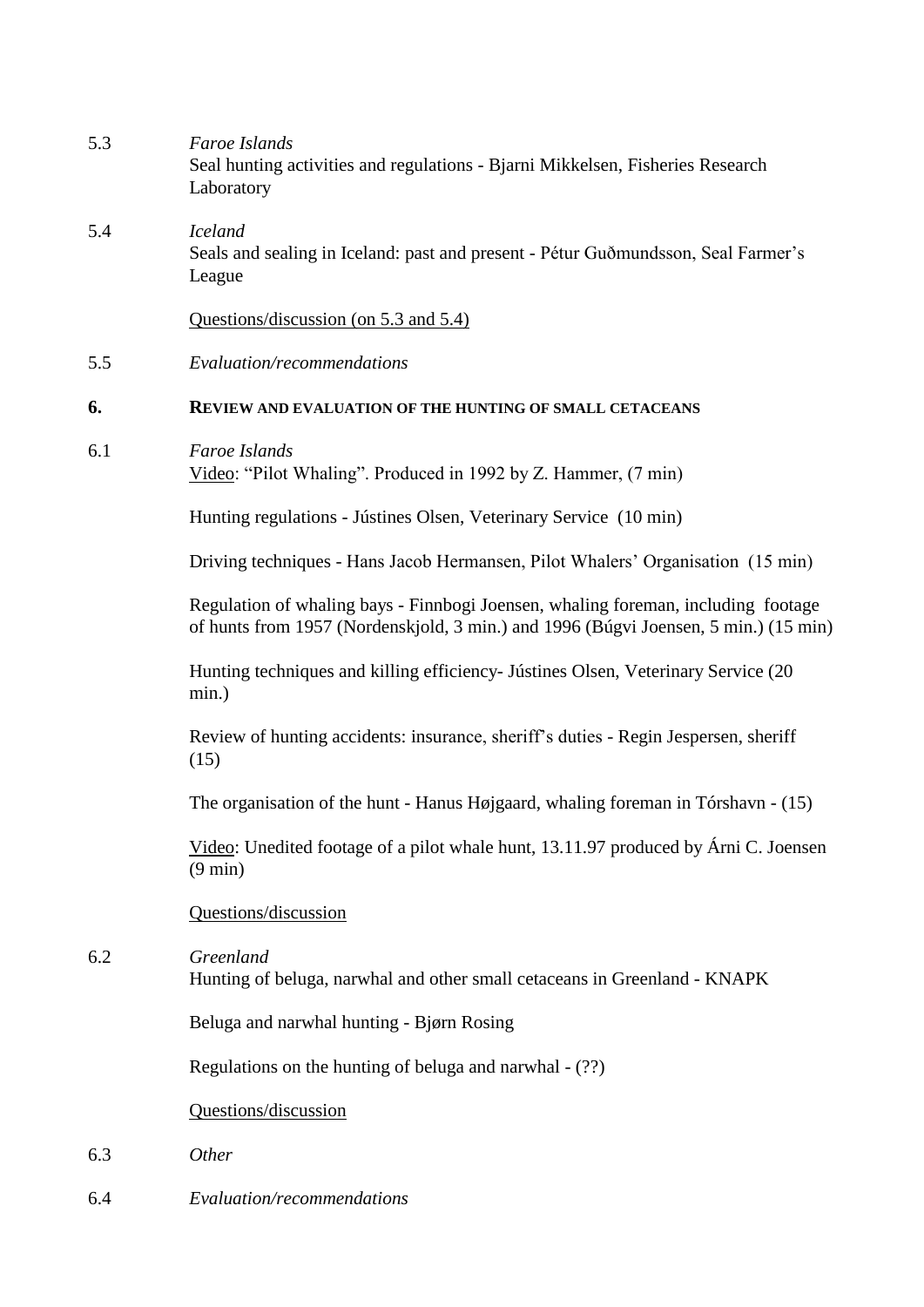| 5.3 | Faroe Islands<br>Seal hunting activities and regulations - Bjarni Mikkelsen, Fisheries Research<br>Laboratory                                                            |
|-----|--------------------------------------------------------------------------------------------------------------------------------------------------------------------------|
| 5.4 | <b>Iceland</b><br>Seals and sealing in Iceland: past and present - Pétur Guðmundsson, Seal Farmer's<br>League                                                            |
|     | Questions/discussion (on 5.3 and 5.4)                                                                                                                                    |
| 5.5 | Evaluation/recommendations                                                                                                                                               |
| 6.  | <b>REVIEW AND EVALUATION OF THE HUNTING OF SMALL CETACEANS</b>                                                                                                           |
| 6.1 | Faroe Islands<br>Video: "Pilot Whaling". Produced in 1992 by Z. Hammer, (7 min)                                                                                          |
|     | Hunting regulations - Jústines Olsen, Veterinary Service (10 min)                                                                                                        |
|     | Driving techniques - Hans Jacob Hermansen, Pilot Whalers' Organisation (15 min)                                                                                          |
|     | Regulation of whaling bays - Finnbogi Joensen, whaling foreman, including footage<br>of hunts from 1957 (Nordenskjold, 3 min.) and 1996 (Búgvi Joensen, 5 min.) (15 min) |
|     | Hunting techniques and killing efficiency- Jústines Olsen, Veterinary Service (20)<br>min.)                                                                              |
|     | Review of hunting accidents: insurance, sheriff's duties - Regin Jespersen, sheriff<br>(15)                                                                              |
|     | The organisation of the hunt - Hanus Højgaard, whaling foreman in Tórshavn - (15)                                                                                        |
|     | Video: Unedited footage of a pilot whale hunt, 13.11.97 produced by Árni C. Joensen<br>$(9 \text{ min})$                                                                 |
|     | Questions/discussion                                                                                                                                                     |
| 6.2 | Greenland<br>Hunting of beluga, narwhal and other small cetaceans in Greenland - KNAPK                                                                                   |
|     | Beluga and narwhal hunting - Bjørn Rosing                                                                                                                                |
|     | Regulations on the hunting of beluga and narwhal - (??)                                                                                                                  |
|     | Questions/discussion                                                                                                                                                     |
| 6.3 | Other                                                                                                                                                                    |
| 6.4 | Evaluation/recommendations                                                                                                                                               |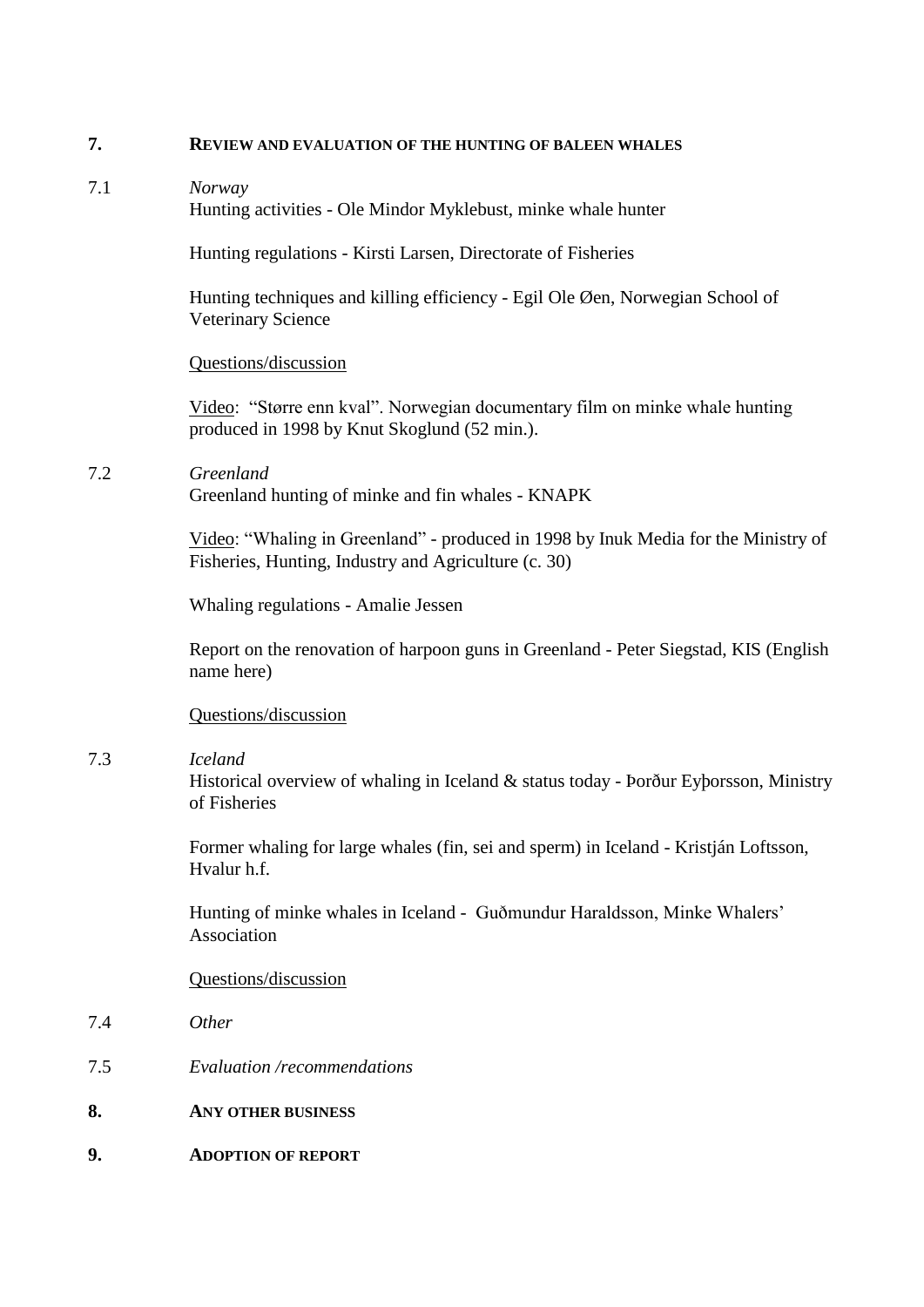#### **7. REVIEW AND EVALUATION OF THE HUNTING OF BALEEN WHALES**

7.1 *Norway* Hunting activities - Ole Mindor Myklebust, minke whale hunter

Hunting regulations - Kirsti Larsen, Directorate of Fisheries

Hunting techniques and killing efficiency - Egil Ole Øen, Norwegian School of Veterinary Science

## Questions/discussion

Video: "Større enn kval". Norwegian documentary film on minke whale hunting produced in 1998 by Knut Skoglund (52 min.).

7.2 *Greenland* Greenland hunting of minke and fin whales - KNAPK

> Video: "Whaling in Greenland" - produced in 1998 by Inuk Media for the Ministry of Fisheries, Hunting, Industry and Agriculture (c. 30)

Whaling regulations - Amalie Jessen

Report on the renovation of harpoon guns in Greenland - Peter Siegstad, KIS (English name here)

Questions/discussion

# 7.3 *Iceland*

Historical overview of whaling in Iceland & status today - Þorður Eyþorsson, Ministry of Fisheries

Former whaling for large whales (fin, sei and sperm) in Iceland - Kristján Loftsson, Hvalur h.f.

Hunting of minke whales in Iceland - Guðmundur Haraldsson, Minke Whalers' Association

# Questions/discussion

- 7.4 *Other*
- 7.5 *Evaluation /recommendations*
- **8. ANY OTHER BUSINESS**
- **9. ADOPTION OF REPORT**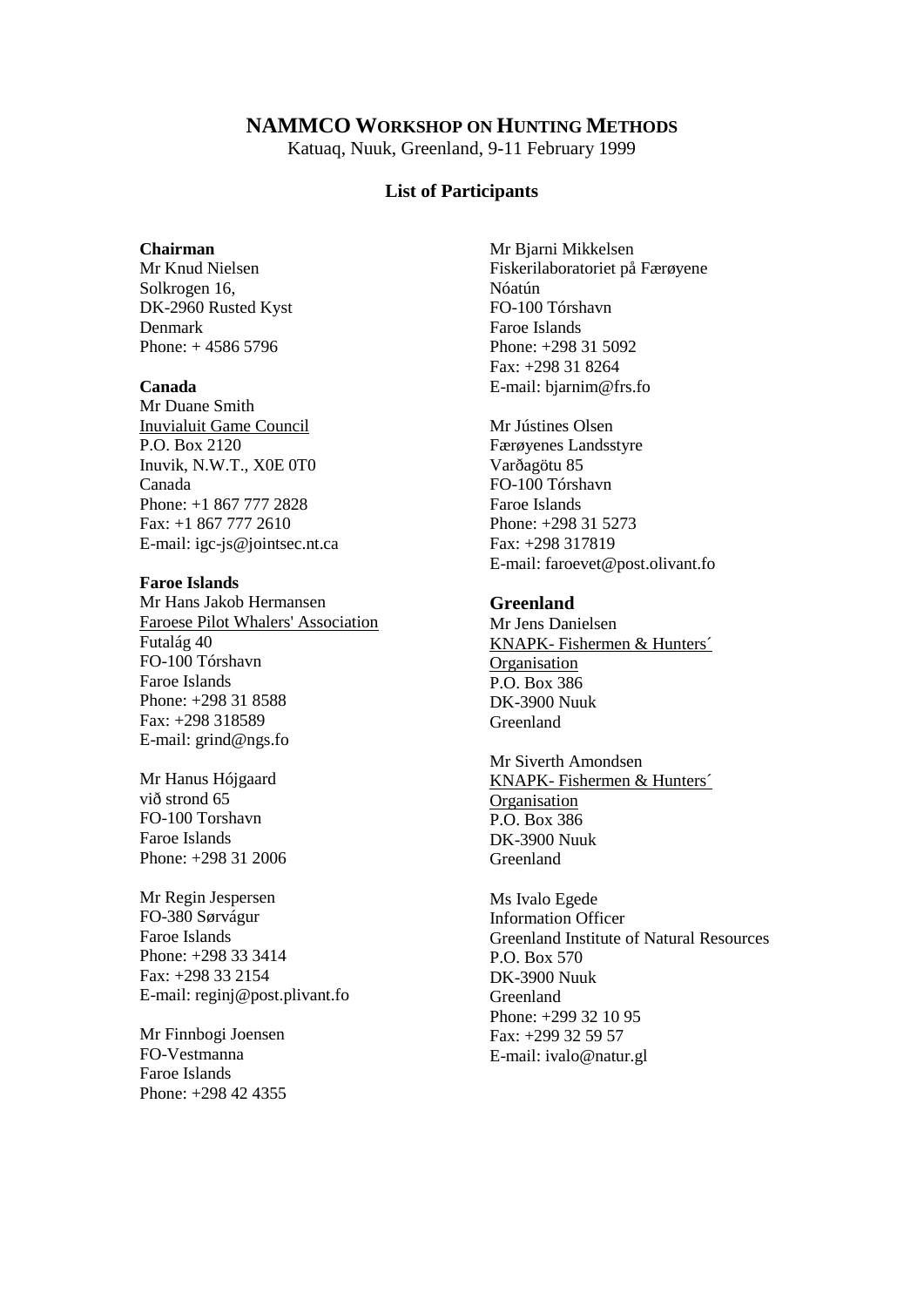# **NAMMCO WORKSHOP ON HUNTING METHODS**

Katuaq, Nuuk, Greenland, 9-11 February 1999

#### **List of Participants**

#### **Chairman**

Mr Knud Nielsen Solkrogen 16, DK-2960 Rusted Kyst Denmark Phone: + 4586 5796

#### **Canada**

Mr Duane Smith Inuvialuit Game Council P.O. Box 2120 Inuvik, N.W.T., X0E 0T0 Canada Phone: +1 867 777 2828 Fax: +1 867 777 2610 E-mail: igc-js@jointsec.nt.ca

#### **Faroe Islands**

Mr Hans Jakob Hermansen Faroese Pilot Whalers' Association Futalág 40 FO-100 Tórshavn Faroe Islands Phone: +298 31 8588 Fax: +298 318589 E-mail: grind@ngs.fo

Mr Hanus Hójgaard við strond 65 FO-100 Torshavn Faroe Islands Phone: +298 31 2006

Mr Regin Jespersen FO-380 Sørvágur Faroe Islands Phone: +298 33 3414 Fax: +298 33 2154 E-mail: reginj@post.plivant.fo

Mr Finnbogi Joensen FO-Vestmanna Faroe Islands Phone: +298 42 4355 Mr Bjarni Mikkelsen Fiskerilaboratoriet på Færøyene Nóatún FO-100 Tórshavn Faroe Islands Phone: +298 31 5092 Fax: +298 31 8264 E-mail: bjarnim@frs.fo

Mr Jústines Olsen Færøyenes Landsstyre Varðagötu 85 FO-100 Tórshavn Faroe Islands Phone: +298 31 5273 Fax: +298 317819 E-mail: faroevet@post.olivant.fo

## **Greenland**

Mr Jens Danielsen KNAPK- Fishermen & Hunters´ **Organisation** P.O. Box 386 DK-3900 Nuuk Greenland

Mr Siverth Amondsen KNAPK- Fishermen & Hunters´ **Organisation** P.O. Box 386 DK-3900 Nuuk Greenland

Ms Ivalo Egede Information Officer Greenland Institute of Natural Resources P.O. Box 570 DK-3900 Nuuk Greenland Phone: +299 32 10 95 Fax: +299 32 59 57 E-mail: ivalo@natur.gl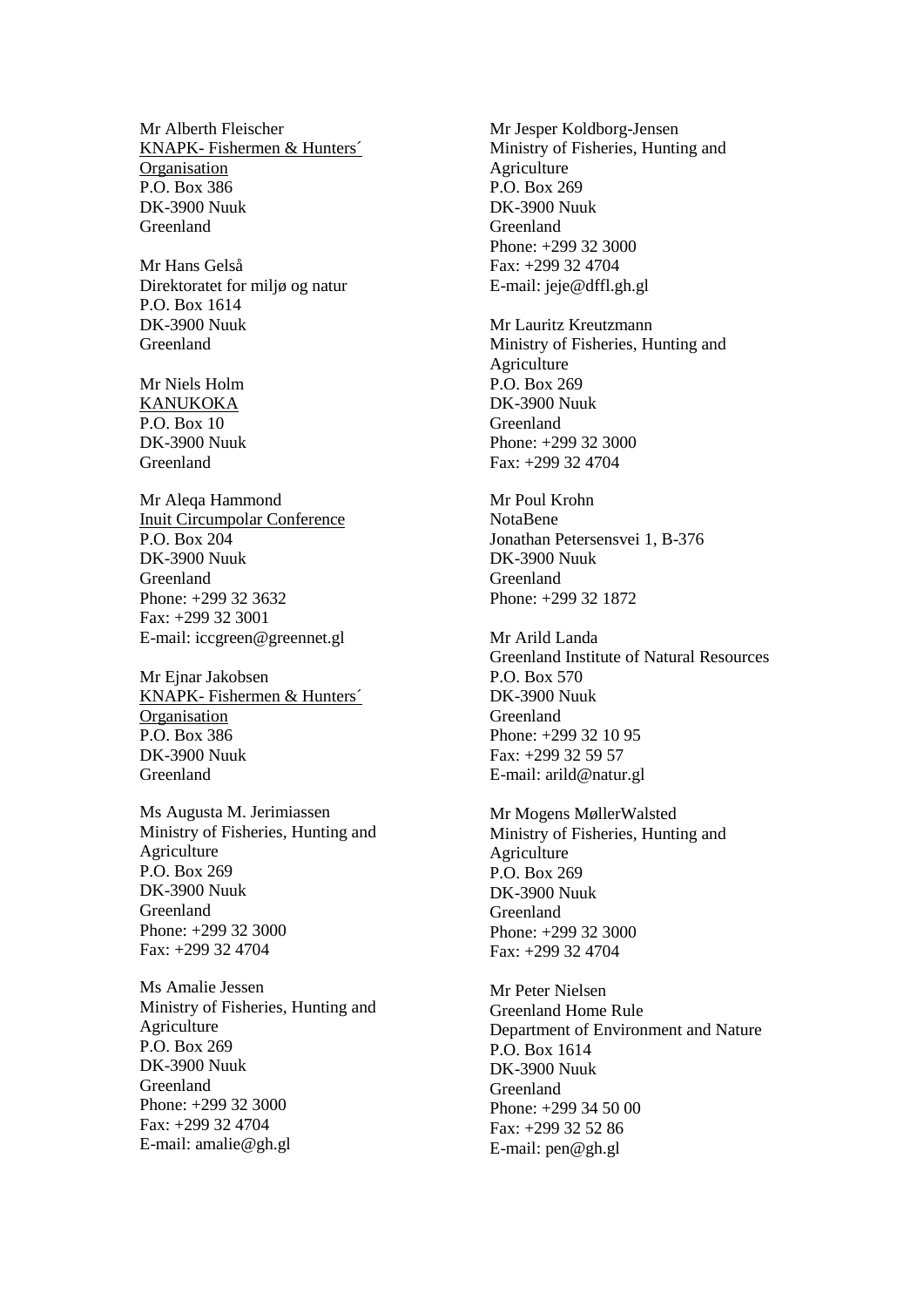Mr Alberth Fleischer KNAPK- Fishermen & Hunters´ **Organisation** P.O. Box 386 DK-3900 Nuuk Greenland

Mr Hans Gelså Direktoratet for miljø og natur P.O. Box 1614 DK-3900 Nuuk Greenland

Mr Niels Holm KANUKOKA P.O. Box 10 DK-3900 Nuuk Greenland

Mr Aleqa Hammond Inuit Circumpolar Conference P.O. Box 204 DK-3900 Nuuk Greenland Phone: +299 32 3632 Fax: +299 32 3001 E-mail: iccgreen@greennet.gl

Mr Ejnar Jakobsen KNAPK- Fishermen & Hunters´ **Organisation** P.O. Box 386 DK-3900 Nuuk Greenland

Ms Augusta M. Jerimiassen Ministry of Fisheries, Hunting and Agriculture P.O. Box 269 DK-3900 Nuuk Greenland Phone: +299 32 3000 Fax: +299 32 4704

Ms Amalie Jessen Ministry of Fisheries, Hunting and Agriculture P.O. Box 269 DK-3900 Nuuk Greenland Phone: +299 32 3000 Fax: +299 32 4704 E-mail: amalie@gh.gl

Mr Jesper Koldborg-Jensen Ministry of Fisheries, Hunting and Agriculture P.O. Box 269 DK-3900 Nuuk Greenland Phone: +299 32 3000 Fax: +299 32 4704 E-mail: jeje@dffl.gh.gl

Mr Lauritz Kreutzmann Ministry of Fisheries, Hunting and Agriculture P.O. Box 269 DK-3900 Nuuk Greenland Phone: +299 32 3000 Fax: +299 32 4704

Mr Poul Krohn NotaBene Jonathan Petersensvei 1, B-376 DK-3900 Nuuk Greenland Phone: +299 32 1872

Mr Arild Landa Greenland Institute of Natural Resources P.O. Box 570 DK-3900 Nuuk Greenland Phone: +299 32 10 95 Fax: +299 32 59 57 E-mail: arild@natur.gl

Mr Mogens MøllerWalsted Ministry of Fisheries, Hunting and Agriculture P.O. Box 269 DK-3900 Nuuk Greenland Phone: +299 32 3000 Fax: +299 32 4704

Mr Peter Nielsen Greenland Home Rule Department of Environment and Nature P.O. Box 1614 DK-3900 Nuuk Greenland Phone: +299 34 50 00 Fax: +299 32 52 86 E-mail: pen@gh.gl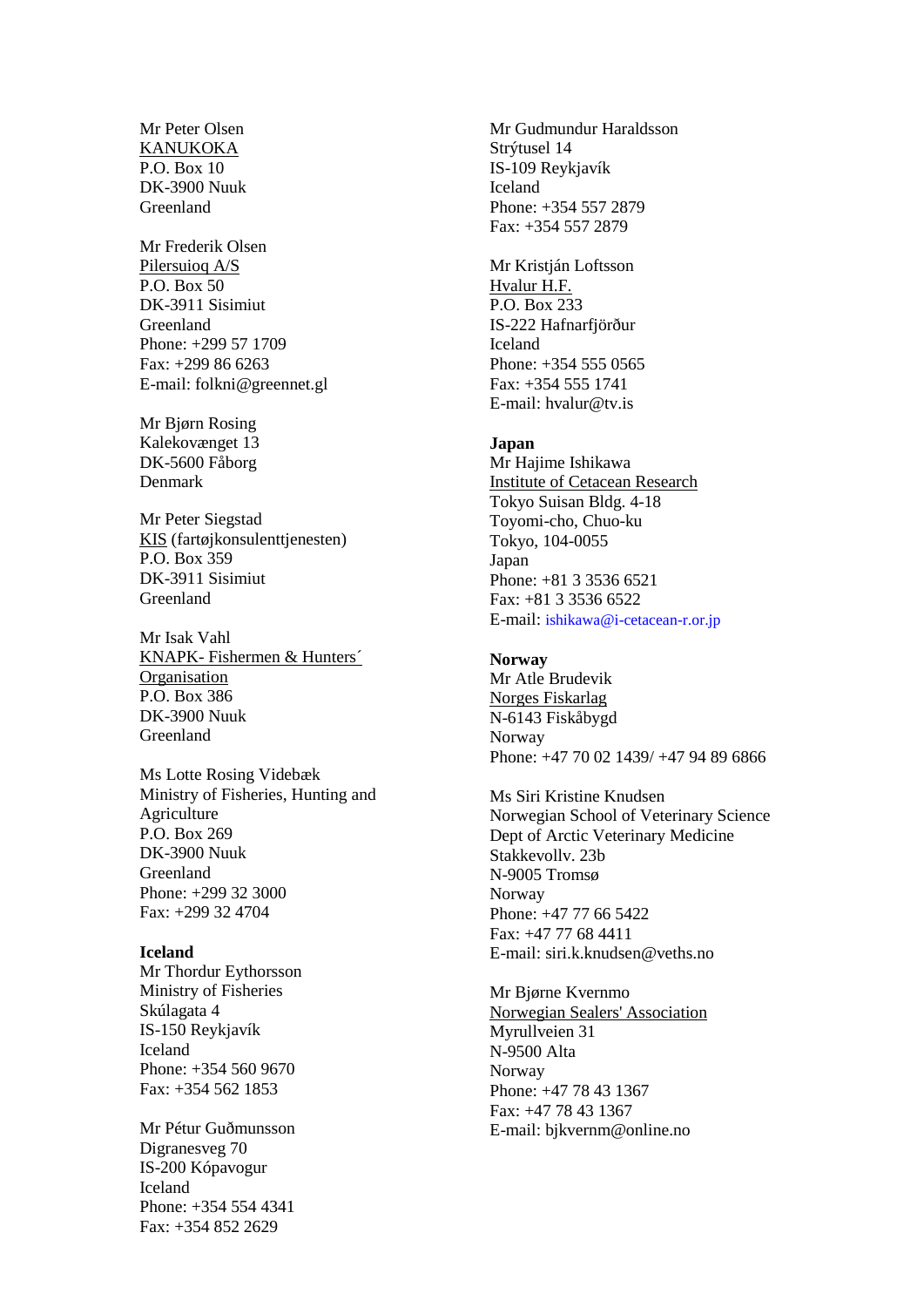Mr Peter Olsen KANUKOKA P.O. Box 10 DK-3900 Nuuk Greenland

Mr Frederik Olsen Pilersuioq A/S P.O. Box 50 DK-3911 Sisimiut Greenland Phone: +299 57 1709 Fax: +299 86 6263 E-mail: folkni@greennet.gl

Mr Bjørn Rosing Kalekovænget 13 DK-5600 Fåborg Denmark

Mr Peter Siegstad KIS (fartøjkonsulenttjenesten) P.O. Box 359 DK-3911 Sisimiut Greenland

Mr Isak Vahl KNAPK- Fishermen & Hunters´ Organisation P.O. Box 386 DK-3900 Nuuk Greenland

Ms Lotte Rosing Videbæk Ministry of Fisheries, Hunting and Agriculture P.O. Box 269 DK-3900 Nuuk Greenland Phone: +299 32 3000 Fax: +299 32 4704

#### **Iceland**

Mr Thordur Eythorsson Ministry of Fisheries Skúlagata 4 IS-150 Reykjavík Iceland Phone: +354 560 9670 Fax: +354 562 1853

Mr Pétur Guðmunsson Digranesveg 70 IS-200 Kópavogur Iceland Phone: +354 554 4341 Fax: +354 852 2629

Mr Gudmundur Haraldsson Strýtusel 14 IS-109 Reykjavík Iceland Phone: +354 557 2879 Fax: +354 557 2879

Mr Kristián Loftsson Hvalur H.F. P.O. Box 233 IS-222 Hafnarfjörður Iceland Phone: +354 555 0565 Fax: +354 555 1741 E-mail: hvalur@tv.is

#### **Japan**

Mr Hajime Ishikawa Institute of Cetacean Research Tokyo Suisan Bldg. 4-18 Toyomi-cho, Chuo-ku Tokyo, 104-0055 Japan Phone: +81 3 3536 6521 Fax: +81 3 3536 6522 E-mail: [ishikawa@i-cetacean-r.or.jp](mailto:ishikawa@i-cetacean-r.or.jp)

**Norway** Mr Atle Brudevik Norges Fiskarlag N-6143 Fiskåbygd Norway Phone: +47 70 02 1439/ +47 94 89 6866

Ms Siri Kristine Knudsen Norwegian School of Veterinary Science Dept of Arctic Veterinary Medicine Stakkevollv. 23b N-9005 Tromsø Norway Phone: +47 77 66 5422 Fax: +47 77 68 4411 E-mail: siri.k.knudsen@veths.no

Mr Bjørne Kvernmo Norwegian Sealers' Association Myrullveien 31 N-9500 Alta Norway Phone: +47 78 43 1367 Fax: +47 78 43 1367 E-mail: bjkvernm@online.no